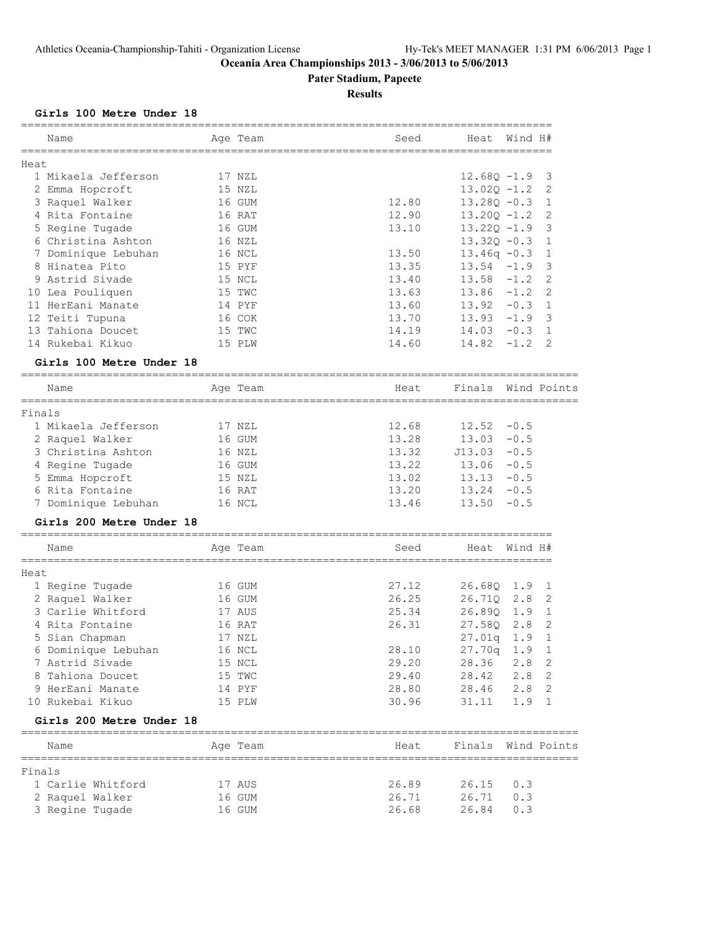# **Pater Stadium, Papeete**

# **Results**

#### **Girls 100 Metre Under 18**

|        |                          | =========       |       |                |         |                            |
|--------|--------------------------|-----------------|-------|----------------|---------|----------------------------|
|        | Name                     | Age Team        | Seed  | Heat           | Wind H# |                            |
|        |                          |                 |       |                |         |                            |
| Heat   | 1 Mikaela Jefferson      | 17 NZL          |       | $12.680 - 1.9$ |         | 3                          |
|        | 2 Emma Hopcroft          | 15 NZL          |       | $13.02Q - 1.2$ |         | 2                          |
|        | 3 Raquel Walker          | 16 GUM          | 12.80 | $13.280 - 0.3$ |         | $\mathbf{1}$               |
|        | 4 Rita Fontaine          | 16 RAT          | 12.90 | $13.20Q - 1.2$ |         | 2                          |
|        | 5 Regine Tugade          | 16 GUM          | 13.10 | $13.22Q - 1.9$ |         | 3                          |
|        | 6 Christina Ashton       | 16 NZL          |       | $13.32Q - 0.3$ |         | 1                          |
|        | 7 Dominique Lebuhan      | 16 NCL          | 13.50 | $13.46q -0.3$  |         | $\mathbf{1}$               |
|        | 8 Hinatea Pito           | 15 PYF          | 13.35 | 13.54          | $-1.9$  | 3                          |
|        | 9 Astrid Sivade          | 15 NCL          | 13.40 | 13.58          | $-1.2$  | 2                          |
|        | 10 Lea Pouliquen         | 15 TWC          | 13.63 | 13.86          | $-1.2$  | 2                          |
|        | 11 HerEani Manate        | 14 PYF          | 13.60 | 13.92          | $-0.3$  | $\mathbf 1$                |
|        | 12 Teiti Tupuna          | 16 COK          | 13.70 | 13.93          | $-1.9$  | 3                          |
|        | 13 Tahiona Doucet        | 15 TWC          | 14.19 | 14.03          | $-0.3$  | $\mathbf{1}$               |
|        | 14 Rukebai Kikuo         | 15 PLW          | 14.60 | 14.82          | $-1.2$  | 2                          |
|        | Girls 100 Metre Under 18 |                 |       |                |         |                            |
|        | Name                     | Age Team        | Heat  | Finals         |         | Wind Points                |
| Finals | ____________             | =============== |       |                |         |                            |
|        | 1 Mikaela Jefferson      | 17 NZL          | 12.68 | 12.52          | $-0.5$  |                            |
|        | 2 Raquel Walker          | 16 GUM          | 13.28 | 13.03          | $-0.5$  |                            |
|        | 3 Christina Ashton       | 16 NZL          | 13.32 | J13.03         | $-0.5$  |                            |
|        | 4 Regine Tugade          | 16 GUM          | 13.22 | 13.06          | $-0.5$  |                            |
|        | 5 Emma Hopcroft          | 15 NZL          | 13.02 | 13.13          | $-0.5$  |                            |
|        | 6 Rita Fontaine          | 16 RAT          | 13.20 | 13.24          | $-0.5$  |                            |
|        | 7 Dominique Lebuhan      | 16 NCL          | 13.46 | 13.50          | $-0.5$  |                            |
|        | Girls 200 Metre Under 18 |                 |       |                |         |                            |
|        | Name                     | Age Team        | Seed  | Heat           | Wind H# |                            |
| Heat   |                          |                 |       |                |         |                            |
|        | 1 Regine Tugade          | 16 GUM          | 27.12 | 26.68Q         | 1.9     | 1                          |
|        | 2 Raquel Walker          | 16 GUM          | 26.25 | 26.71Q         | 2.8     | 2                          |
|        | 3 Carlie Whitford        | 17 AUS          | 25.34 | 26.89Q         | 1.9     | $\mathbf{1}$               |
|        | 4 Rita Fontaine          | 16 RAT          | 26.31 | 27.58Q         | 2.8     | 2                          |
|        | 5 Sian Chapman           | 17 NZL          |       | 27.01q         | 1.9     | $\mathbf{1}$               |
|        | 6 Dominique Lebuhan      | 16 NCL          | 28.10 | 27.70q         | 1.9     | $\mathbf{1}$               |
|        | 7 Astrid Sivade          | 15 NCL          | 29.20 | 28.36          | 2.8     | 2                          |
|        | 8 Tahiona Doucet         | 15 TWC          | 29.40 | 28.42          | 2.8     | $\overline{\phantom{0}}^2$ |
|        | 9 HerEani Manate         | 14 PYF          | 28.80 | 28.46          | 2.8     | 2                          |
|        | 10 Rukebai Kikuo         | 15 PLW          | 30.96 | 31.11          | 1.9     | $\mathbf{1}$               |
|        | Girls 200 Metre Under 18 |                 |       |                |         |                            |
|        | Name                     | Age Team        | Heat  | Finals         |         | Wind Points                |
| Finals |                          |                 |       |                |         |                            |
|        | 1 Carlie Whitford        | 17 AUS          | 26.89 | 26.15          | 0.3     |                            |
|        | 2 Raquel Walker          | 16 GUM          | 26.71 | 26.71          | 0.3     |                            |
|        | 3 Regine Tugade          | 16 GUM          | 26.68 | 26.84          | 0.3     |                            |
|        |                          |                 |       |                |         |                            |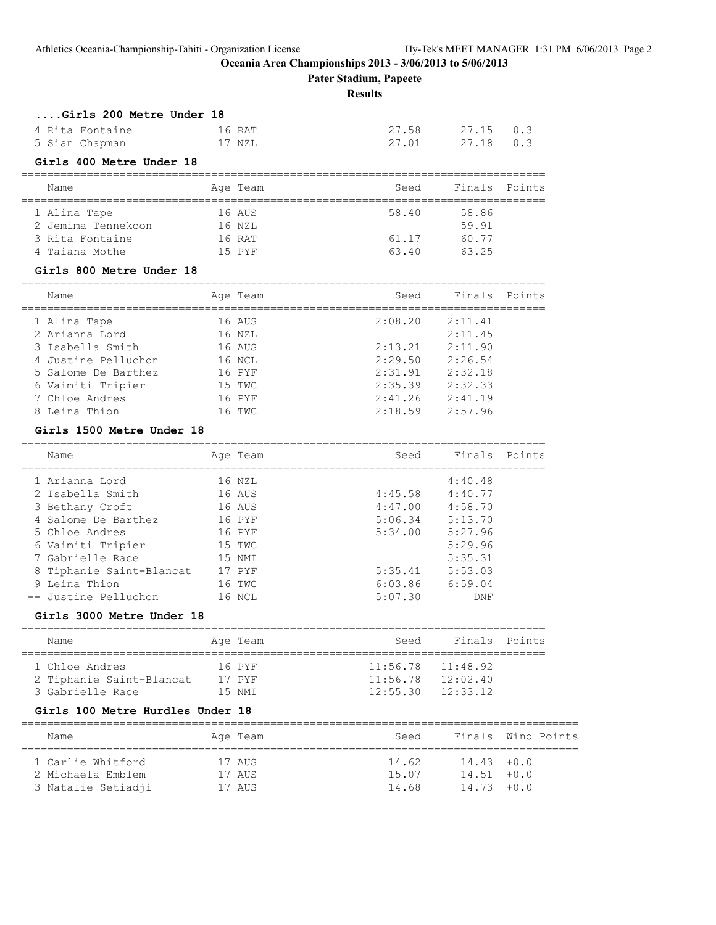**Pater Stadium, Papeete**

**Results**

| Girls 200 Metre Under 18 |        |       |           |  |
|--------------------------|--------|-------|-----------|--|
| 4 Rita Fontaine          | 16 RAT | 27.58 | 27.15 0.3 |  |
| 5 Sian Chapman           | 17 NZL | 27.01 | 27.18 0.3 |  |

#### **Girls 400 Metre Under 18**

#### ================================================================================ Name Mage Team Age Team Seed Finals Points

| <u>tiane</u>       | ny ra  | .<br>. | -------<br>------- |  |
|--------------------|--------|--------|--------------------|--|
| 1 Alina Tape       | 16 AUS | 58.40  | 58.86              |  |
| 2 Jemima Tennekoon | 16 NZL |        | 59.91              |  |
| 3 Rita Fontaine    | 16 RAT | 61.17  | 60.77              |  |
| 4 Taiana Mothe     | 15 PYF | 63.40  | 63.25              |  |

#### **Girls 800 Metre Under 18**

| Name                | Age Team | Seed    | Finals Points |  |
|---------------------|----------|---------|---------------|--|
| 1 Alina Tape        | 16 AUS   | 2:08.20 | 2:11.41       |  |
| 2 Arianna Lord      | 16 NZL   |         | 2:11.45       |  |
| 3 Isabella Smith    | 16 AUS   | 2:13.21 | 2:11.90       |  |
| 4 Justine Pelluchon | 16 NCL   | 2:29.50 | 2:26.54       |  |
| 5 Salome De Barthez | 16 PYF   | 2:31.91 | 2:32.18       |  |
| 6 Vaimiti Tripier   | 15 TWC   | 2:35.39 | 2:32.33       |  |
| 7 Chloe Andres      | 16 PYF   | 2:41.26 | 2:41.19       |  |
| 8 Leina Thion       | 16 TWC   | 2:18.59 | 2:57.96       |  |

### **Girls 1500 Metre Under 18**

| Name                     | Age Team | Seed    | Finals Points |  |
|--------------------------|----------|---------|---------------|--|
| 1 Arianna Lord           | 16 NZL   |         | 4:40.48       |  |
| 2 Isabella Smith         | 16 AUS   | 4:45.58 | 4:40.77       |  |
| 3 Bethany Croft          | 16 AUS   | 4:47.00 | 4:58.70       |  |
| 4 Salome De Barthez      | 16 PYF   | 5:06.34 | 5:13.70       |  |
| 5 Chloe Andres           | 16 PYF   | 5:34.00 | 5:27.96       |  |
| 6 Vaimiti Tripier        | 15 TWC   |         | 5:29.96       |  |
| 7 Gabrielle Race         | 15 NMI   |         | 5:35.31       |  |
| 8 Tiphanie Saint-Blancat | 17 PYF   | 5:35.41 | 5:53.03       |  |
| 9 Leina Thion            | 16 TWC   | 6:03.86 | 6:59.04       |  |
| -- Justine Pelluchon     | 16 NCL   | 5:07.30 | DNF           |  |

#### **Girls 3000 Metre Under 18**

| Name                                                           | Age Team                   |  | Seed     |                                                            | Finals Points |  |  |  |  |
|----------------------------------------------------------------|----------------------------|--|----------|------------------------------------------------------------|---------------|--|--|--|--|
| 1 Chloe Andres<br>2 Tiphanie Saint-Blancat<br>3 Gabrielle Race | 16 PYF<br>17 PYF<br>15 NMT |  | 11:56.78 | $11:56.78$ $11:48.92$<br>12:02.40<br>$12:55.30$ $12:33.12$ |               |  |  |  |  |

#### **Girls 100 Metre Hurdles Under 18**

| Name               | Age Team | Seed  |               | Finals Wind Points |
|--------------------|----------|-------|---------------|--------------------|
| 1 Carlie Whitford  | 17 AUS   | 14.62 | $14.43 + 0.0$ |                    |
| 2 Michaela Emblem  | 17 AUS   | 15.07 | $14.51 + 0.0$ |                    |
| 3 Natalie Setiadji | 17 AUS   | 14.68 | $14.73 + 0.0$ |                    |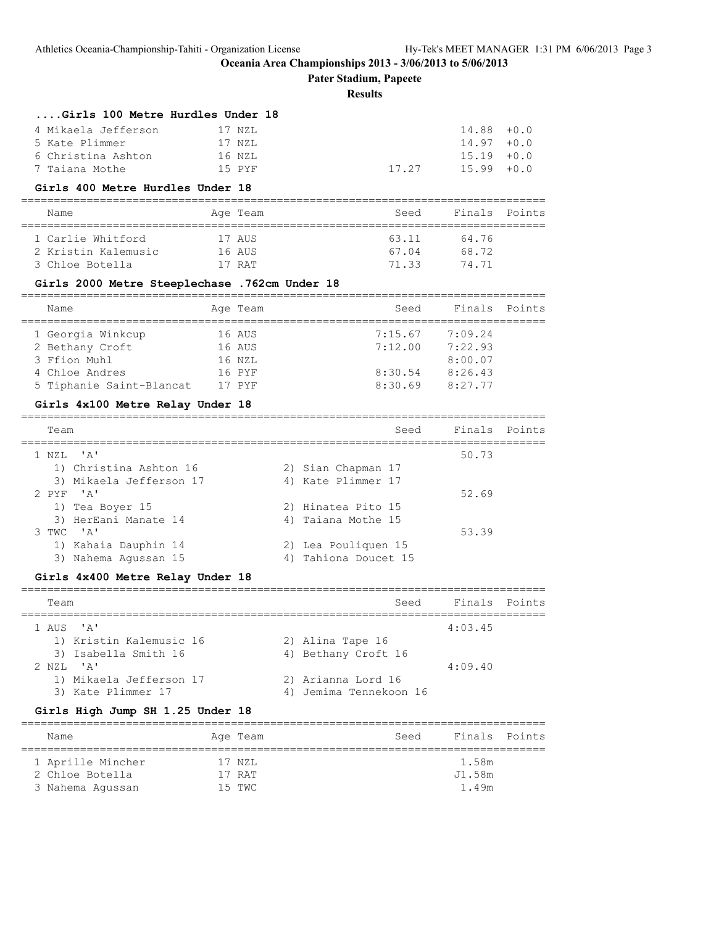**Pater Stadium, Papeete**

#### **Results**

================================================================================

================================================================================

#### **....Girls 100 Metre Hurdles Under 18**

| 4 Mikaela Jefferson | 17 NZL |       | $14.88 + 0.0$ |  |
|---------------------|--------|-------|---------------|--|
| 5 Kate Plimmer      | 17 NZL |       | $14.97 + 0.0$ |  |
| 6 Christina Ashton  | 16 NZL |       | $15.19 + 0.0$ |  |
| 7 Taiana Mothe      | 15 PYF | 17 27 | $15.99 + 0.0$ |  |

#### **Girls 400 Metre Hurdles Under 18**

#### ================================================================================

| Name                                   | Age Team         | Seed           | Finals Points  |  |
|----------------------------------------|------------------|----------------|----------------|--|
| 1 Carlie Whitford                      | 17 AUS           | 63.11          | 64.76          |  |
| 2 Kristin Kalemusic<br>3 Chloe Botella | 16 AUS<br>17 RAT | 67.04<br>71.33 | 68.72<br>74 71 |  |
|                                        |                  |                |                |  |

#### **Girls 2000 Metre Steeplechase .762cm Under 18**

| Name                     | Age Team | Seed    | Finals Points |  |
|--------------------------|----------|---------|---------------|--|
| 1 Georgia Winkcup        | 16 AUS   | 7:15.67 | 7:09.24       |  |
| 2 Bethany Croft          | 16 AUS   | 7:12.00 | 7:22.93       |  |
| 3 Ffion Muhl             | 16 NZL   |         | 8:00.07       |  |
| 4 Chloe Andres           | 16 PYF   | 8:30.54 | 8:26.43       |  |
| 5 Tiphanie Saint-Blancat | 17 PYF   | 8:30.69 | 8:27.77       |  |

#### **Girls 4x100 Metre Relay Under 18**

| Team                    | Seed                | Finals Points |
|-------------------------|---------------------|---------------|
| $1$ NZL $'A'$           |                     | 50.73         |
| 1) Christina Ashton 16  | 2) Sian Chapman 17  |               |
| 3) Mikaela Jefferson 17 | 4) Kate Plimmer 17  |               |
| $2$ PYF $'$ A'          |                     | 52.69         |
| 1) Tea Boyer 15         | 2) Hinatea Pito 15  |               |
| 3) HerEani Manate 14    | 4) Taiana Mothe 15  |               |
| $3$ TWC $'$ A'          |                     | 53.39         |
| 1) Kahaia Dauphin 14    | 2) Lea Pouliquen 15 |               |
| Nahema Agussan 15<br>3) | Tahiona Doucet 15   |               |

#### **Girls 4x400 Metre Relay Under 18**

# ================================================================================ Team Seed Finals Points ================================================================================ 1 AUS 'A' 4:03.45 1) Kristin Kalemusic 16 2) Alina Tape 16 3) Isabella Smith 16 4) Bethany Croft 16 2 NZL 'A' 4:09.40 1) Mikaela Jefferson 17 2) Arianna Lord 16 3) Kate Plimmer 17 4) Jemima Tennekoon 16

#### **Girls High Jump SH 1.25 Under 18**

| Name              | Age Team | Finals Points<br>Seed |  |  |  |  |  |  |
|-------------------|----------|-----------------------|--|--|--|--|--|--|
|                   |          |                       |  |  |  |  |  |  |
| 1 Aprille Mincher | 17 NZL   | 1.58m                 |  |  |  |  |  |  |
| 2 Chloe Botella   | 17 RAT   | J1.58m                |  |  |  |  |  |  |
| 3 Nahema Aqussan  | 15 TWC   | 1.49m                 |  |  |  |  |  |  |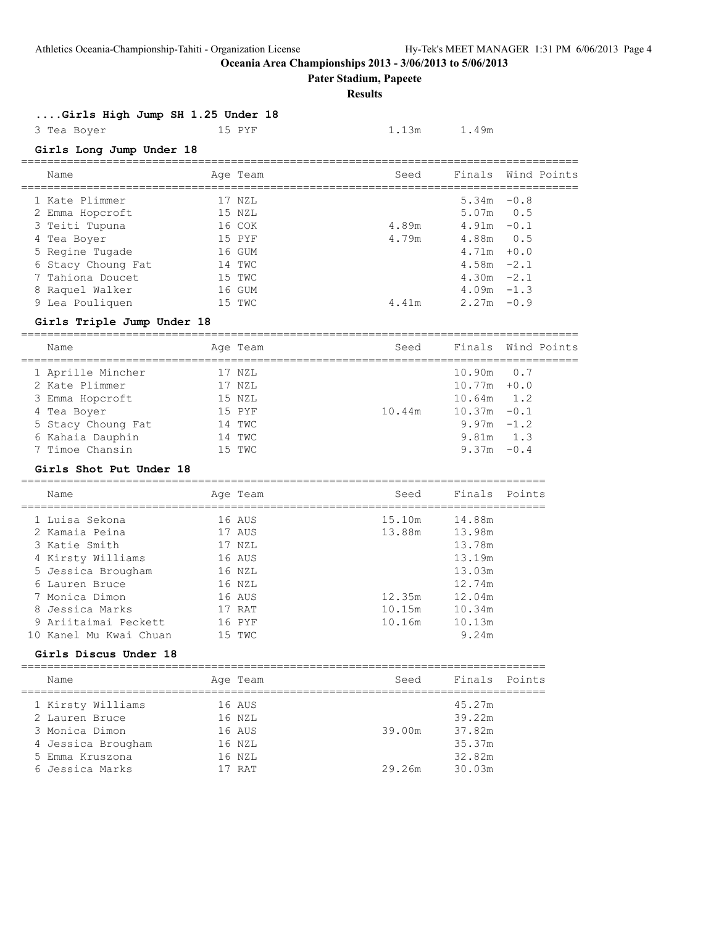**Pater Stadium, Papeete**

#### **Results**

# **....Girls High Jump SH 1.25 Under 18**

3 Tea Boyer 15 PYF 1.13m 1.49m

# **Girls Long Jump Under 18**

| Name               | Age Team | Seed  |               | Finals Wind Points |
|--------------------|----------|-------|---------------|--------------------|
| 1 Kate Plimmer     | 17 NZL   |       | 5.34m         | $-0.8$             |
| 2 Emma Hopcroft    | 15 NZL   |       | $5.07m$ 0.5   |                    |
| 3 Teiti Tupuna     | 16 COK   | 4.89m | 4.91m         | $-0.1$             |
| 4 Tea Boyer        | 15 PYF   | 4.79m | 4.88m         | 0.5                |
| 5 Regine Tugade    | 16 GUM   |       | $4.71m + 0.0$ |                    |
| 6 Stacy Choung Fat | 14 TWC   |       | $4.58m -2.1$  |                    |
| 7 Tahiona Doucet   | 15 TWC   |       | $4.30m -2.1$  |                    |
| 8 Raquel Walker    | 16 GUM   |       | $4.09m - 1.3$ |                    |
| 9 Lea Pouliquen    | 15 TWC   | 4.41m | 2.27m         | $-0.9$             |
|                    |          |       |               |                    |

### **Girls Triple Jump Under 18**

| Finals Wind Points<br>Seed<br>Age Team<br>Name<br>1 Aprille Mincher<br>$10.90m$ 0.7<br>17 NZL<br>2 Kate Plimmer<br>$10.77m + 0.0$<br>17 NZL<br>$10.64m$ 1.2<br>3 Emma Hopcroft<br>15 NZL<br>$10.37m - 0.1$<br>10.44m<br>15 PYF<br>4 Tea Boyer<br>$9.97m - 1.2$<br>5 Stacy Choung Fat<br>14 TWC<br>$9.81m$ 1.3<br>6 Kahaia Dauphin<br>14 TWC<br>7 Timoe Chansin<br>$9.37m - 0.4$<br>15 TWC |  |  |  |  |
|-------------------------------------------------------------------------------------------------------------------------------------------------------------------------------------------------------------------------------------------------------------------------------------------------------------------------------------------------------------------------------------------|--|--|--|--|
|                                                                                                                                                                                                                                                                                                                                                                                           |  |  |  |  |
|                                                                                                                                                                                                                                                                                                                                                                                           |  |  |  |  |
|                                                                                                                                                                                                                                                                                                                                                                                           |  |  |  |  |
|                                                                                                                                                                                                                                                                                                                                                                                           |  |  |  |  |
|                                                                                                                                                                                                                                                                                                                                                                                           |  |  |  |  |
|                                                                                                                                                                                                                                                                                                                                                                                           |  |  |  |  |
|                                                                                                                                                                                                                                                                                                                                                                                           |  |  |  |  |
|                                                                                                                                                                                                                                                                                                                                                                                           |  |  |  |  |

### **Girls Shot Put Under 18**

|  | Name                   | Age Team | Seed   | Finals Points |  |
|--|------------------------|----------|--------|---------------|--|
|  | 1 Luisa Sekona         | 16 AUS   | 15.10m | 14.88m        |  |
|  | 2 Kamaia Peina         | 17 AUS   | 13.88m | 13.98m        |  |
|  | 3 Katie Smith          | 17 NZL   |        | 13.78m        |  |
|  | 4 Kirsty Williams      | 16 AUS   |        | 13.19m        |  |
|  | 5 Jessica Brougham     | 16 NZL   |        | 13.03m        |  |
|  | 6 Lauren Bruce         | 16 NZL   |        | 12.74m        |  |
|  | 7 Monica Dimon         | 16 AUS   | 12.35m | 12.04m        |  |
|  | 8 Jessica Marks        | 17 RAT   | 10.15m | 10.34m        |  |
|  | 9 Ariitaimai Peckett   | 16 PYF   | 10.16m | 10.13m        |  |
|  | 10 Kanel Mu Kwai Chuan | 15 TWC   |        | 9.24m         |  |
|  |                        |          |        |               |  |

### **Girls Discus Under 18**

| Name               | Age Team | Seed   | Finals Points |  |
|--------------------|----------|--------|---------------|--|
| 1 Kirsty Williams  | 16 AUS   |        | 45.27m        |  |
| 2 Lauren Bruce     | 16 NZL   |        | 39.22m        |  |
| 3 Monica Dimon     | 16 AUS   | 39.00m | 37.82m        |  |
| 4 Jessica Brougham | 16 NZL   |        | 35.37m        |  |
| 5 Emma Kruszona    | 16 NZL   |        | 32.82m        |  |
| 6 Jessica Marks    | 17 RAT   | 29.26m | 30.03m        |  |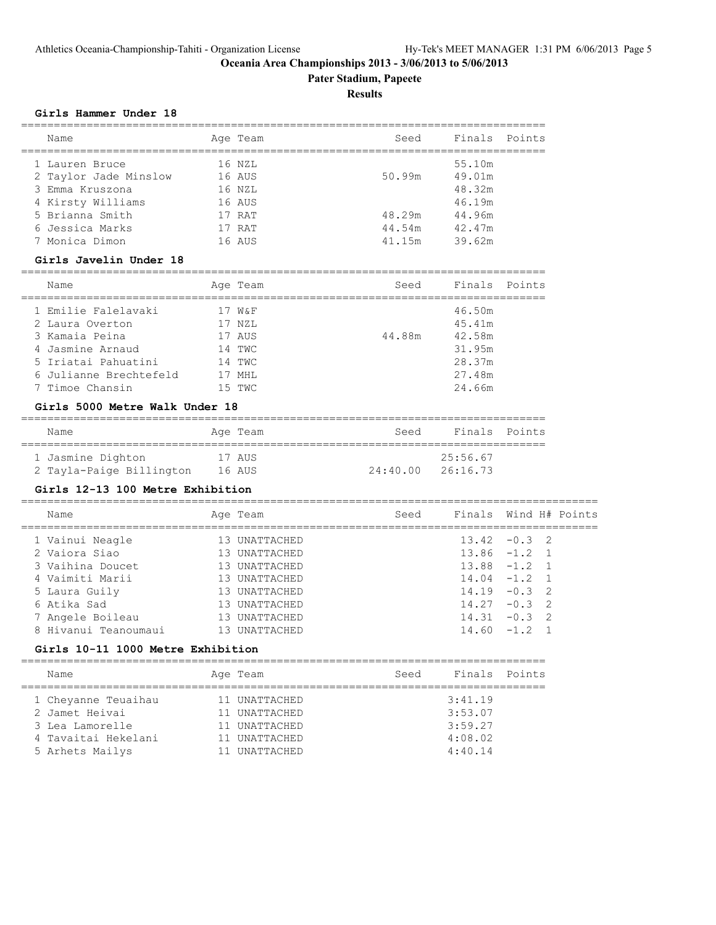# **Pater Stadium, Papeete**

# **Results**

#### **Girls Hammer Under 18**

| Name                           |        | Age Team | Seed          | Finals | Points |
|--------------------------------|--------|----------|---------------|--------|--------|
| 1 Lauren Bruce                 |        | 16 NZL   |               | 55.10m |        |
| 2 Taylor Jade Minslow          | 16 AUS |          | 50.99m        | 49.01m |        |
| Emma Kruszona<br>3             |        | 16 NZL   |               | 48.32m |        |
| Kirsty Williams<br>4           |        | 16 AUS   |               | 46.19m |        |
| 5 Brianna Smith                |        | 17 RAT   | 48.29m 44.96m |        |        |
| 6 Jessica Marks                |        | 17 RAT   | 44.54m 42.47m |        |        |
| 7 Monica Dimon                 |        | 16 AUS   | 41.15m        | 39.62m |        |
| Girls Javelin Under 18         |        |          |               |        |        |
| Name                           |        | Age Team | Seed          | Finals | Points |
| 1 Emilie Falelavaki            |        | 17 W&F   |               | 46.50m |        |
| 2 Laura Overton                |        | 17 NZL   |               | 45.41m |        |
| 3 Kamaia Peina                 |        | 17 AUS   | 44.88m        | 42.58m |        |
| Jasmine Arnaud<br>4            |        | 14 TWC   |               | 31.95m |        |
| 5 Iriatai Pahuatini            | 14 TWC |          |               | 28.37m |        |
| 6 Julianne Brechtefeld         | 17 MHL |          |               | 27.48m |        |
| 7 Timoe Chansin                |        | 15 TWC   |               | 24.66m |        |
| Girls 5000 Metre Walk Under 18 |        |          |               |        |        |
| Name                           |        | Age Team | Seed          | Finals | Points |

| 1 Jasmine Dighton        | 17 AUS |                   | 25:56.67 |  |
|--------------------------|--------|-------------------|----------|--|
| 2 Tayla-Paige Billington | 16 AUS | 24:40.00 26:16.73 |          |  |

# **Girls 12-13 100 Metre Exhibition**

| Name                 | Age Team      | Seed | Finals Wind H# Points |  |  |
|----------------------|---------------|------|-----------------------|--|--|
| 1 Vainui Neagle      | 13 UNATTACHED |      | $13.42 - 0.3$ 2       |  |  |
| 2 Vaiora Siao        | 13 UNATTACHED |      | $13.86 -1.2 1$        |  |  |
| 3 Vaihina Doucet     | 13 UNATTACHED |      | $13.88 - 1.2 1$       |  |  |
| 4 Vaimiti Marii      | 13 UNATTACHED |      | $14.04 - 1.2$ 1       |  |  |
| 5 Laura Guily        | 13 UNATTACHED |      | $14.19 - 0.3$ 2       |  |  |
| 6 Atika Sad          | 13 UNATTACHED |      | $14.27 - 0.3$ 2       |  |  |
| 7 Angele Boileau     | 13 UNATTACHED |      | $14.31 - 0.3$ 2       |  |  |
| 8 Hivanui Teanoumaui | 13 UNATTACHED |      | $14.60 - 1.2$         |  |  |
|                      |               |      |                       |  |  |

# **Girls 10-11 1000 Metre Exhibition**

| Name                | Age Team      | Seed | Finals Points |  |
|---------------------|---------------|------|---------------|--|
| 1 Cheyanne Teuaihau | 11 UNATTACHED |      | 3:41.19       |  |
| 2 Jamet Heivai      | 11 UNATTACHED |      | 3:53.07       |  |
| 3 Lea Lamorelle     | 11 UNATTACHED |      | 3:59.27       |  |
| 4 Tavaitai Hekelani | 11 UNATTACHED |      | 4:08.02       |  |
| 5 Arhets Mailys     | 11 UNATTACHED |      | 4:40.14       |  |
|                     |               |      |               |  |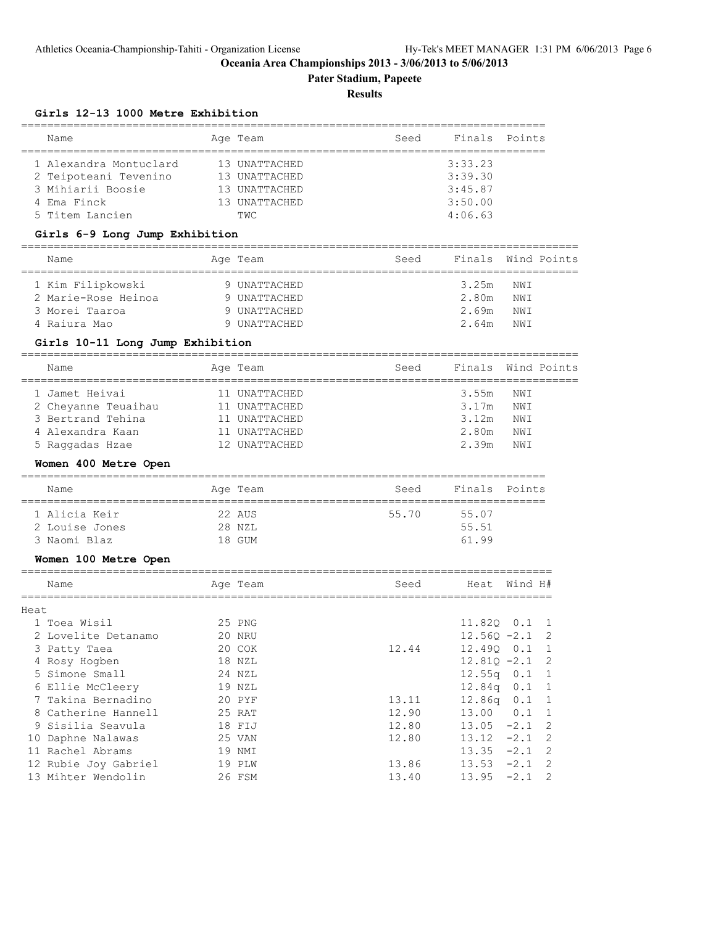**Pater Stadium, Papeete**

#### **Results**

# **Girls 12-13 1000 Metre Exhibition**

|      |                                                            | ========                     |                                           |                |                                                        |
|------|------------------------------------------------------------|------------------------------|-------------------------------------------|----------------|--------------------------------------------------------|
|      | Name                                                       | Age Team                     | Seed                                      | Finals         | Points                                                 |
|      | 1 Alexandra Montuclard                                     | 13 UNATTACHED                |                                           | 3:33.23        |                                                        |
|      | 2 Teipoteani Tevenino                                      | 13 UNATTACHED                |                                           | 3:39.30        |                                                        |
|      | 3 Mihiarii Boosie                                          | 13 UNATTACHED                |                                           | 3:45.87        |                                                        |
|      | 4 Ema Finck                                                | 13 UNATTACHED                |                                           | 3:50.00        |                                                        |
|      | 5 Titem Lancien                                            | TWC                          |                                           | 4:06.63        |                                                        |
|      | Girls 6-9 Long Jump Exhibition                             |                              |                                           |                |                                                        |
|      | Name<br>========================                           | Age Team<br>================ | Seed<br>================================= | Finals         | Wind Points                                            |
|      | 1 Kim Filipkowski                                          | 9 UNATTACHED                 |                                           | 3.25m          | NWI                                                    |
|      | 2 Marie-Rose Heinoa                                        | 9 UNATTACHED                 |                                           | 2.80m          | NWI                                                    |
|      | 3 Morei Taaroa                                             | 9 UNATTACHED                 |                                           | 2.69m          | NWI                                                    |
|      | 4 Raiura Mao                                               | 9 UNATTACHED                 |                                           | 2.64m          | NWI                                                    |
|      | Girls 10-11 Long Jump Exhibition<br>====================== |                              |                                           |                |                                                        |
|      | Name                                                       | Age Team                     | Seed<br>===============================   | Finals         | Wind Points                                            |
|      | 1 Jamet Heivai                                             | 11 UNATTACHED                |                                           | 3.55m          | NWI                                                    |
|      | 2 Cheyanne Teuaihau                                        | 11 UNATTACHED                |                                           | 3.17m          | NWI                                                    |
|      | 3 Bertrand Tehina                                          | 11 UNATTACHED                |                                           | 3.12m          | NWI                                                    |
|      | 4 Alexandra Kaan                                           | 11 UNATTACHED                |                                           | 2.80m          | NWI                                                    |
|      | 5 Raggadas Hzae                                            | 12 UNATTACHED                |                                           | 2.39m          | NWI                                                    |
|      | Women 400 Metre Open                                       |                              |                                           |                |                                                        |
|      | Name                                                       | Age Team                     | Seed<br>_________________________________ | Finals         | Points                                                 |
|      | 1 Alicia Keir                                              | 22 AUS                       | 55.70                                     | 55.07          |                                                        |
|      | 2 Louise Jones                                             | 28 NZL                       |                                           | 55.51          |                                                        |
|      | 3 Naomi Blaz                                               | 18 GUM                       |                                           | 61.99          |                                                        |
|      | Women 100 Metre Open                                       |                              |                                           |                |                                                        |
|      | Name                                                       | Age Team                     | Seed                                      | Heat           | Wind H#                                                |
| Heat |                                                            |                              |                                           |                |                                                        |
|      | 1 Toea Wisil                                               | 25 PNG                       |                                           | 11.82Q 0.1     | 1                                                      |
|      | 2 Lovelite Detanamo                                        | 20 NRU                       |                                           | $12.56Q - 2.1$ | 2                                                      |
|      | 3 Patty Taea                                               | 20 COK                       | 12.44                                     | 12.49Q         | $\ensuremath{\text{o}} \mathbin{\text{.1}}$<br>$\,1\,$ |
|      | 4 Rosy Hogben                                              | 18 NZL                       |                                           | $12.81Q - 2.1$ | 2                                                      |
|      | 5 Simone Small                                             | 24 NZL                       |                                           | 12.55q         | 0.1<br>$\mathbf{1}$                                    |
|      | 6 Ellie McCleery                                           | 19 NZL                       |                                           | 12.84q         | 0.1<br>$\mathbf{1}$                                    |
|      | 7 Takina Bernadino                                         | 20 PYF                       | 13.11                                     | 12.86q         | 0.1<br>$\mathbf{1}$                                    |
|      | 8 Catherine Hannell                                        | 25 RAT                       | 12.90                                     | 13.00          | 0.1<br>$\mathbf{1}$                                    |
|      | 9 Sisilia Seavula                                          | 18 FIJ                       | 12.80                                     | 13.05          | $-2.1$<br>2                                            |
|      | 10 Daphne Nalawas                                          | 25 VAN                       | 12.80                                     | 13.12          | $-2.1$<br>2                                            |
|      | 11 Rachel Abrams                                           | 19 NMI                       |                                           | 13.35          | $-2.1$<br>2                                            |
|      | 12 Rubie Joy Gabriel                                       | 19 PLW                       | 13.86                                     | 13.53          | $-2.1$<br>2                                            |
|      | 13 Mihter Wendolin                                         | 26 FSM                       | 13.40                                     | 13.95          | $-2.1$<br>2                                            |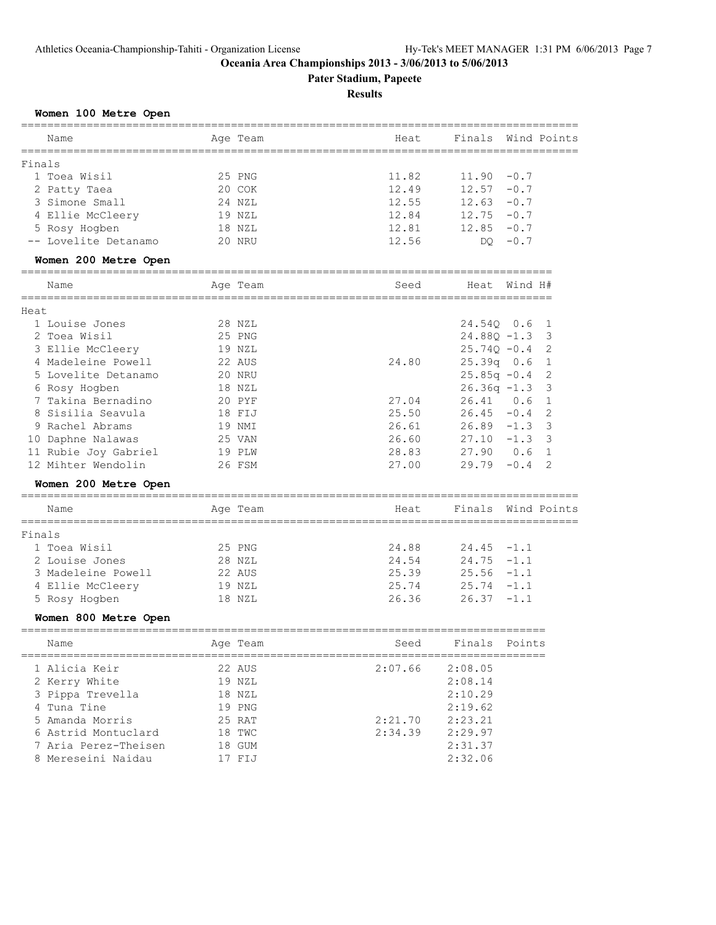**Pater Stadium, Papeete**

#### **Results**

# **Women 100 Metre Open**

|        | Name<br>____________ |                | Age Team           | Heat                                | Finals             |         | Wind Points    |
|--------|----------------------|----------------|--------------------|-------------------------------------|--------------------|---------|----------------|
| Finals |                      |                | ------------------ | ___________________________________ |                    |         |                |
|        | 1 Toea Wisil         |                | 25 PNG             | 11.82                               | 11.90              | $-0.7$  |                |
|        | 2 Patty Taea         |                | 20 COK             | 12.49                               | 12.57              | $-0.7$  |                |
|        | 3 Simone Small       |                | 24 NZL             | 12.55                               | 12.63              | $-0.7$  |                |
|        | 4 Ellie McCleery     |                | 19 NZL             | 12.84                               | 12.75              | $-0.7$  |                |
|        | 5 Rosy Hogben        |                | 18 NZL             | 12.81                               | 12.85              | $-0.7$  |                |
|        | -- Lovelite Detanamo |                | 20 NRU             | 12.56                               | DO.                | $-0.7$  |                |
|        | Women 200 Metre Open | ============== |                    |                                     |                    |         |                |
|        | Name                 |                | Age Team           | Seed                                | Heat               | Wind H# |                |
| Heat   | ============         |                | =============      |                                     | =================  |         |                |
|        | 1 Louise Jones       |                | 28 NZL             |                                     | 24.540 0.6         |         | 1              |
|        | 2 Toea Wisil         |                | 25 PNG             |                                     | $24.88Q - 1.3$     |         | 3              |
|        | 3 Ellie McCleery     |                | 19 NZL             |                                     | $25.74Q - 0.4$     |         | 2              |
|        | 4 Madeleine Powell   |                | 22 AUS             | 24.80                               | $25.39q$ 0.6       |         | $\mathbf{1}$   |
|        | 5 Lovelite Detanamo  |                | 20 NRU             |                                     | $25.85q -0.4$      |         | 2              |
|        | 6 Rosy Hogben        |                | 18 NZL             |                                     | $26.36q -1.3$      |         | 3              |
|        | 7 Takina Bernadino   |                | 20 PYF             | 27.04                               | 26.41              | 0.6     | $\overline{1}$ |
|        | 8 Sisilia Seavula    |                | 18 FIJ             | 25.50                               | 26.45              | $-0.4$  | 2              |
|        | 9 Rachel Abrams      |                | 19 NMI             | 26.61                               | 26.89              | $-1.3$  | 3              |
|        | 10 Daphne Nalawas    |                | 25 VAN             | 26.60                               | 27.10              | $-1.3$  | 3              |
|        | 11 Rubie Joy Gabriel |                | 19 PLW             | 28.83                               | 27.90              | 0.6     | $\mathbf{1}$   |
|        | 12 Mihter Wendolin   |                | 26 FSM             | 27.00                               | 29.79              | $-0.4$  | 2              |
|        | Women 200 Metre Open |                |                    |                                     |                    |         |                |
|        | Name                 |                | Age Team           | Heat                                | Finals Wind Points |         |                |
| Finals |                      | ----------     |                    |                                     |                    |         |                |
|        | 1 Toea Wisil         |                | 25 PNG             | 24.88                               | 24.45              | $-1.1$  |                |
|        | 2 Louise Jones       |                | 28 NZL             | 24.54                               | 24.75              | $-1.1$  |                |
|        | 3 Madeleine Powell   |                | 22 AUS             | 25.39                               | 25.56              | $-1.1$  |                |
|        | 4 Ellie McCleery     |                | 19 NZL             | 25.74                               | 25.74              | $-1.1$  |                |
|        | 5 Rosy Hogben        |                | 18 NZL             | 26.36                               | 26.37              | $-1.1$  |                |
|        | Women 800 Metre Open |                |                    |                                     |                    |         |                |
|        | Name                 |                | Age Team           | Seed                                | Finals Points      |         |                |
|        | 1 Alicia Keir        |                | 22 AUS             | 2:07.66                             | 2:08.05            |         |                |
|        | 2 Kerry White        |                | 19 NZL             |                                     | 2:08.14            |         |                |
|        | 3 Pippa Trevella     |                | 18 NZL             |                                     | 2:10.29            |         |                |
|        | 4 Tuna Tine          |                | 19 PNG             |                                     | 2:19.62            |         |                |
|        | 5 Amanda Morris      |                | 25 RAT             | 2:21.70                             | 2:23.21            |         |                |
|        |                      |                |                    |                                     |                    |         |                |

 6 Astrid Montuclard 18 TWC 2:34.39 2:29.97 7 Aria Perez-Theisen 18 GUM 2:31.37 8 Mereseini Naidau 17 FIJ 2:32.06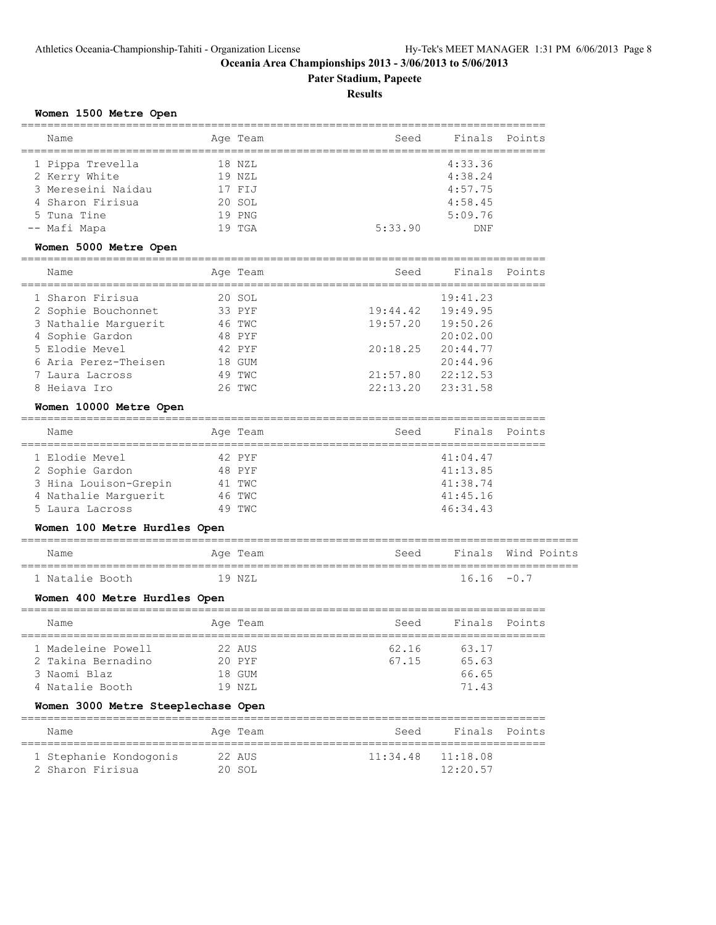**Pater Stadium, Papeete**

#### **Results**

#### **Women 1500 Metre Open**

| Name               |    | Age Team | Seed    | Finals  | Points |
|--------------------|----|----------|---------|---------|--------|
| 1 Pippa Trevella   |    | 18 NZL   |         | 4:33.36 |        |
| 2 Kerry White      |    | 19 NZL   |         | 4:38.24 |        |
| 3 Mereseini Naidau |    | 17 FIJ   |         | 4:57.75 |        |
| 4 Sharon Firisua   |    | 20 SOL   |         | 4:58.45 |        |
| 5 Tuna Tine        |    | 19 PNG   |         | 5:09.76 |        |
| -- Mafi Mapa       | 19 | TGA      | 5:33.90 | DNF     |        |

#### **Women 5000 Metre Open**

| Name                 | Age Team | Seed                  | Finals   | Points |
|----------------------|----------|-----------------------|----------|--------|
| 1 Sharon Firisua     | 20 SOL   |                       | 19:41.23 |        |
| 2 Sophie Bouchonnet  | 33 PYF   | $19:44.42$ $19:49.95$ |          |        |
| 3 Nathalie Marquerit | 46 TWC   | 19:57.20              | 19:50.26 |        |
| 4 Sophie Gardon      | 48 PYF   |                       | 20:02:00 |        |
| 5 Elodie Mevel       | 42 PYF   | 20:18.25              | 20:44.77 |        |
| 6 Aria Perez-Theisen | 18 GUM   |                       | 20:44.96 |        |
| 7 Laura Lacross      | 49 TWC   | 21:57.80              | 22:12.53 |        |
| 8 Heiava Iro         | 26 TWC   | $22:13.20$ $23:31.58$ |          |        |

#### **Women 10000 Metre Open**

| Name                  |  | Age Team | Seed | Finals Points |  |  |  |
|-----------------------|--|----------|------|---------------|--|--|--|
|                       |  |          |      |               |  |  |  |
| 1 Elodie Mevel        |  | 42 PYF   |      | 41:04.47      |  |  |  |
| 2 Sophie Gardon       |  | 48 PYF   |      | 41:13.85      |  |  |  |
| 3 Hina Louison-Grepin |  | 41 TWC   |      | 41:38.74      |  |  |  |
| 4 Nathalie Marquerit  |  | 46 TWC   |      | 41:45.16      |  |  |  |
| 5 Laura Lacross       |  | 49 TWC   |      | 46:34.43      |  |  |  |

#### **Women 100 Metre Hurdles Open**

# ===================================================================================== Name **Age Team** Age Team Seed Finals Wind Points

#### ===================================================================================== 1 Natalie Booth

#### **Women 400 Metre Hurdles Open**

| Name               |  | Age Team | Seed  | Finals Points |  |  |  |  |
|--------------------|--|----------|-------|---------------|--|--|--|--|
| 1 Madeleine Powell |  | 22 AUS   | 62.16 | 63.17         |  |  |  |  |
| 2 Takina Bernadino |  | $20$ PYF | 67.15 | 65.63         |  |  |  |  |
| 3 Naomi Blaz       |  | 18 GUM   |       | 66.65         |  |  |  |  |
| 4 Natalie Booth    |  | 19 NZL   |       | 7143          |  |  |  |  |

#### **Women 3000 Metre Steeplechase Open**

| Name                   | Age Team | Seed | Finals Points         |  |  |  |  |  |
|------------------------|----------|------|-----------------------|--|--|--|--|--|
| 1 Stephanie Kondogonis | 22 AUS   |      | $11:34.48$ $11:18.08$ |  |  |  |  |  |
| 2 Sharon Firisua       | 20 SOL   |      | 12:20.57              |  |  |  |  |  |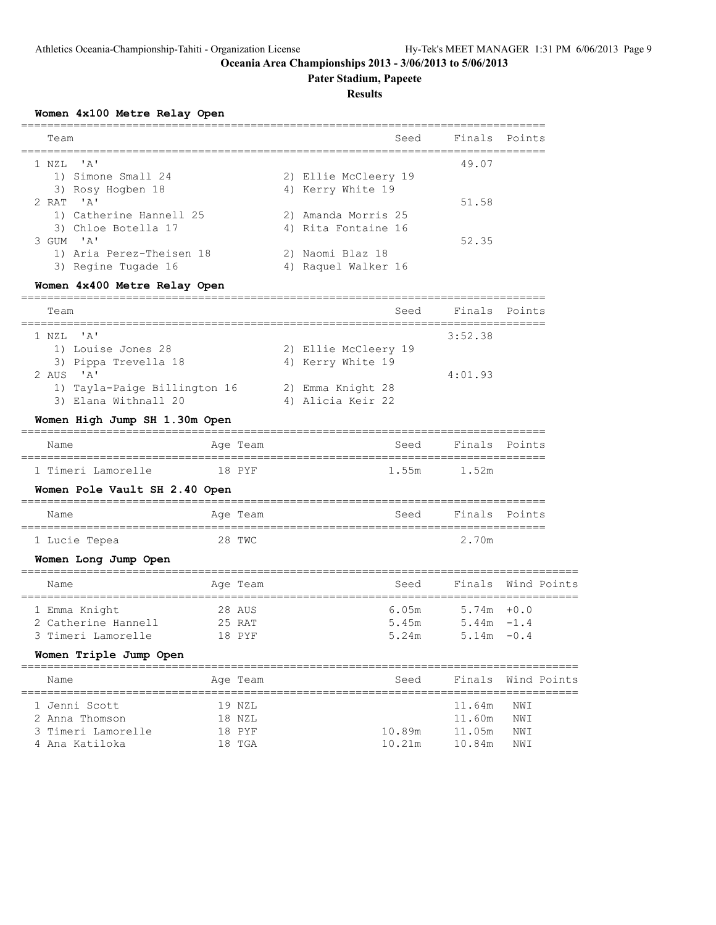# **Pater Stadium, Papeete**

### **Results**

#### **Women 4x100 Metre Relay Open**

| Team                     | Seed                 | Finals Points |  |
|--------------------------|----------------------|---------------|--|
| 1 NZL 'A'                |                      | 49.07         |  |
| 1) Simone Small 24       | 2) Ellie McCleery 19 |               |  |
| 3) Rosy Hogben 18        | 4) Kerry White 19    |               |  |
| $2$ RAT $'A'$            |                      | 51.58         |  |
| 1) Catherine Hannell 25  | 2) Amanda Morris 25  |               |  |
| 3) Chloe Botella 17      | 4) Rita Fontaine 16  |               |  |
| $3$ GUM $'$ A'           |                      | 52.35         |  |
| 1) Aria Perez-Theisen 18 | 2) Naomi Blaz 18     |               |  |
| 3) Regine Tugade 16      | Raquel Walker 16     |               |  |
|                          |                      |               |  |

# **Women 4x400 Metre Relay Open**

| Team                         | Seed                 | Finals Points |  |
|------------------------------|----------------------|---------------|--|
| 1 NZL 'A'                    |                      | 3:52.38       |  |
| 1) Louise Jones 28           | 2) Ellie McCleery 19 |               |  |
| 3) Pippa Trevella 18         | 4) Kerry White 19    |               |  |
| 2 AUS $'A'$                  |                      | 4:01.93       |  |
| 1) Tayla-Paige Billington 16 | 2) Emma Knight 28    |               |  |
| 3) Elana Withnall 20         | 4) Alicia Keir 22    |               |  |
|                              |                      |               |  |

# **Women High Jump SH 1.30m Open**

| Name               | Age Team | Seed        | Finals Points |  |
|--------------------|----------|-------------|---------------|--|
| 1 Timeri Lamorelle | 18 PYF   | 1.55m 1.52m |               |  |

### **Women Pole Vault SH 2.40 Open**

| Name          | Age Team | Seed | Finals Points |  |  |  |  |  |  |
|---------------|----------|------|---------------|--|--|--|--|--|--|
|               |          |      |               |  |  |  |  |  |  |
| 1 Lucie Tepea | 28 TWC   |      | 2.70m         |  |  |  |  |  |  |

# **Women Long Jump Open**

| Name                |  | Age Team | Seed  | Finals Wind Points |  |  |  |  |
|---------------------|--|----------|-------|--------------------|--|--|--|--|
|                     |  |          |       |                    |  |  |  |  |
| 1 Emma Knight       |  | 28 AUS   | 6.05m | $5.74m + 0.0$      |  |  |  |  |
| 2 Catherine Hannell |  | 25 RAT   | 5.45m | $5.44m - 1.4$      |  |  |  |  |
| 3 Timeri Lamorelle  |  | 18 PYF   | 5.24m | $5.14m - 0.4$      |  |  |  |  |

# **Women Triple Jump Open**

| Name               |  | Seed                                             |        |     |                    |
|--------------------|--|--------------------------------------------------|--------|-----|--------------------|
| 1 Jenni Scott      |  |                                                  | 11.64m | NWI |                    |
| 2 Anna Thomson     |  |                                                  | 11.60m | NWI |                    |
| 3 Timeri Lamorelle |  | 10.89m                                           | 11.05m | NWI |                    |
| 4 Ana Katiloka     |  | 10.21m                                           | 10.84m | NWI |                    |
|                    |  | Age Team<br>19 NZL<br>18 NZL<br>18 PYF<br>18 TGA |        |     | Finals Wind Points |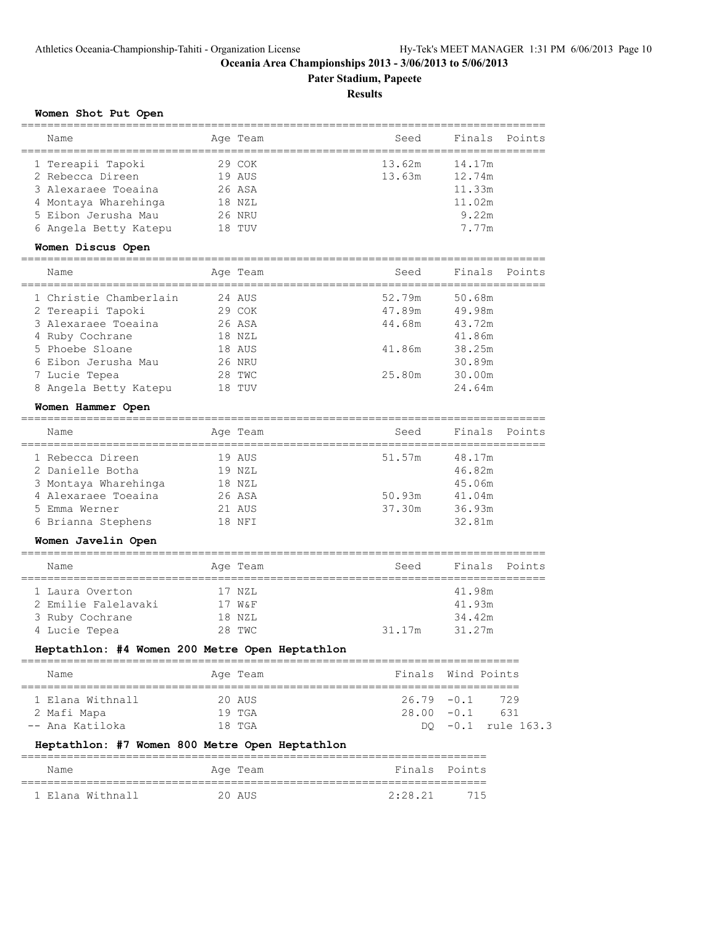**Pater Stadium, Papeete**

#### **Results**

#### **Women Shot Put Open**

| Name                                                                                 | Age Team                             | Seed             | Finals<br>Points                     |
|--------------------------------------------------------------------------------------|--------------------------------------|------------------|--------------------------------------|
| 1 Tereapii Tapoki<br>2 Rebecca Direen<br>3 Alexaraee Toeaina<br>4 Montaya Wharehinga | 29 COK<br>19 AUS<br>26 ASA<br>18 NZL | 13.62m<br>13.63m | 14.17m<br>12.74m<br>11.33m<br>11.02m |
| 5 Eibon Jerusha Mau<br>6 Angela Betty Katepu<br>Women Discus Open                    | 26 NRU<br>18 TUV                     |                  | 9.22m<br>7.77m                       |
| Name                                                                                 | Age Team                             | Seed             | Finals<br>Points                     |
| 1 Christie Chamberlain<br>2 Tereapii Tapoki                                          | 24 AUS<br>29 COK                     | 52.79m<br>47.89m | 50.68m<br>49.98m                     |

| 3 Alexaraee Toeaina   | 26 ASA | 44.68m | 43.72m |
|-----------------------|--------|--------|--------|
| 4 Ruby Cochrane       | 18 NZL |        | 41.86m |
| 5 Phoebe Sloane       | 18 AUS | 41.86m | 38.25m |
| 6 Eibon Jerusha Mau   | 26 NRU |        | 30.89m |
| 7 Lucie Tepea         | 28 TWC | 25.80m | 30.00m |
| 8 Angela Betty Katepu | 18 TUV |        | 24.64m |
|                       |        |        |        |

#### **Women Hammer Open**

| Name |                                                                                                                            | Seed                                                                 | Finals Points |  |
|------|----------------------------------------------------------------------------------------------------------------------------|----------------------------------------------------------------------|---------------|--|
|      |                                                                                                                            | 51.57m                                                               | 48.17m        |  |
|      |                                                                                                                            |                                                                      | 46.82m        |  |
|      |                                                                                                                            |                                                                      | 45.06m        |  |
|      |                                                                                                                            | 50.93m                                                               | 41.04m        |  |
|      |                                                                                                                            | 37.30m                                                               | 36.93m        |  |
|      |                                                                                                                            |                                                                      | 32.81m        |  |
|      | 1 Rebecca Direen<br>2 Danielle Botha<br>3 Montaya Wharehinga<br>4 Alexaraee Toeaina<br>5 Emma Werner<br>6 Brianna Stephens | Age Team<br>19 AUS<br>19 NZL<br>18 NZL<br>26 ASA<br>21 AUS<br>18 NFT |               |  |

#### **Women Javelin Open**

| Name                | Age Team | Seed   | Finals Points |
|---------------------|----------|--------|---------------|
| 1 Laura Overton     | 17 NZL   |        | 41.98m        |
| 2 Emilie Falelavaki | 17 W&F   |        | 41.93m        |
| 3 Ruby Cochrane     | 18 NZL   |        | 34.42m        |
| 4 Lucie Tepea       | 28 TWC   | 31.17m | 31.27m        |

# **Heptathlon: #4 Women 200 Metre Open Heptathlon**

| Name                                               | Age Team                   | Finals Wind Points |                                                |
|----------------------------------------------------|----------------------------|--------------------|------------------------------------------------|
| 1 Elana Withnall<br>2 Mafi Mapa<br>-- Ana Katiloka | 20 AUS<br>19 TGA<br>18 TGA | $28.00 - 0.1$      | $26.79 - 0.1$ 729<br>631<br>DO -0.1 rule 163.3 |

# **Heptathlon: #7 Women 800 Metre Open Heptathlon**

| Name             | Age Team | Finals Points |     |
|------------------|----------|---------------|-----|
| 1 Elana Withnall | 20 AUS   | 2:28.21       | 715 |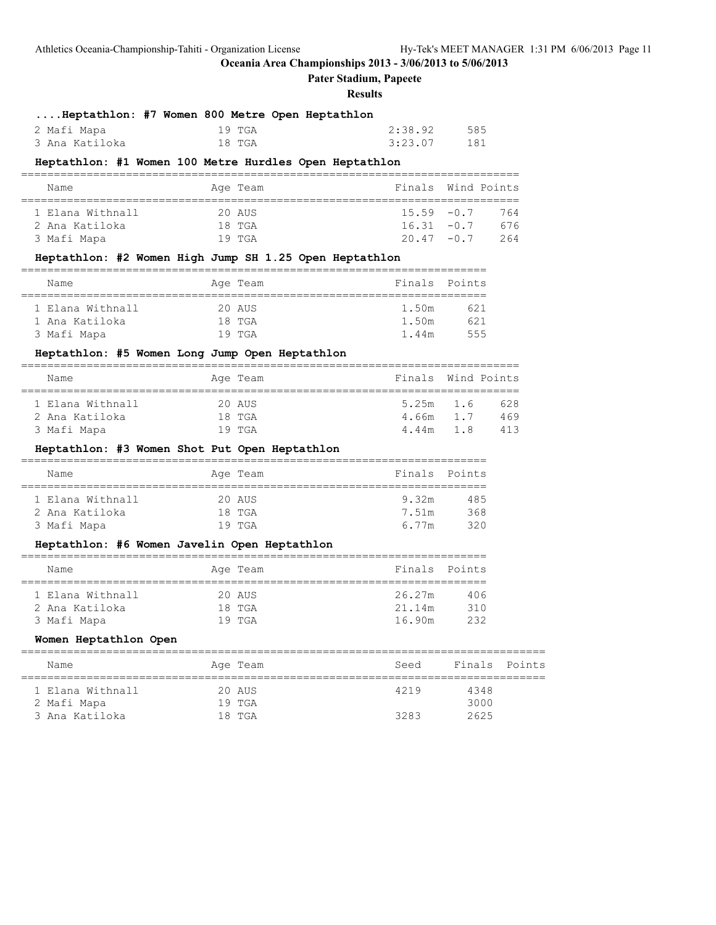**Pater Stadium, Papeete**

#### **Results**

|                | Heptathlon: #7 Women 800 Metre Open Heptathlon |         |     |
|----------------|------------------------------------------------|---------|-----|
| 2 Mafi Mapa    | 19 TGA                                         | 2:38.92 | 585 |
| 3 Ana Katiloka | 18 TGA                                         | 3:23.07 | 181 |

# **Heptathlon: #1 Women 100 Metre Hurdles Open Heptathlon**

| Name             | Age Team | Finals Wind Points |     |
|------------------|----------|--------------------|-----|
|                  |          |                    |     |
| 1 Elana Withnall | 20 AUS   | $15.59 - 0.7$      | 764 |
| 2 Ana Katiloka   | 18 TGA   | $16.31 - 0.7$      | 676 |
| 3 Mafi Mapa      | $19$ TGA | $20.47 - 0.7$      | 264 |

#### **Heptathlon: #2 Women High Jump SH 1.25 Open Heptathlon**

| Name             | Age Team | Finals Points |     |
|------------------|----------|---------------|-----|
|                  |          |               |     |
| 1 Elana Withnall | 20 AUS   | 1.50m         | 621 |
| 1 Ana Katiloka   | $18$ TGA | 1.50m         | 621 |
| 3 Mafi Mapa      | $19$ TGA | 1.44m         | 555 |

# **Heptathlon: #5 Women Long Jump Open Heptathlon**

| Name             | Age Team | Finals Wind Points |     |
|------------------|----------|--------------------|-----|
|                  |          |                    |     |
| 1 Elana Withnall | 20 AUS   | 5.25m 1.6          | 628 |
| 2 Ana Katiloka   | $18$ TGA | 4.66m 1.7          | 469 |
| 3 Mafi Mapa      | $19$ TGA | 4.44m 1.8          | 413 |

#### **Heptathlon: #3 Women Shot Put Open Heptathlon**

| Name             | Age Team | Finals Points |      |
|------------------|----------|---------------|------|
|                  |          |               |      |
| 1 Elana Withnall | 20 AUS   | 9.32m         | 485  |
| 2 Ana Katiloka   | $18$ TGA | 7.51m         | 368  |
| 3 Mafi Mapa      | $19$ TGA | 6 77m         | 320. |

#### **Heptathlon: #6 Women Javelin Open Heptathlon**

| Name             | Age Team | Finals Points |     |
|------------------|----------|---------------|-----|
|                  |          |               |     |
| 1 Elana Withnall | 20 AUS   | 26.27m        | 406 |
| 2 Ana Katiloka   | $18$ TGA | 21.14m        | 310 |
| 3 Mafi Mapa      | $19$ TGA | 16.90m        | 232 |

#### **Women Heptathlon Open**

| Name             | Age Team | Seed | Finals Points |  |
|------------------|----------|------|---------------|--|
| 1 Elana Withnall | 20 AUS   | 4219 | 4348          |  |
| 2 Mafi Mapa      | $19$ TGA |      | 3000          |  |
| 3 Ana Katiloka   | 18 TGA   | 3283 | 2625          |  |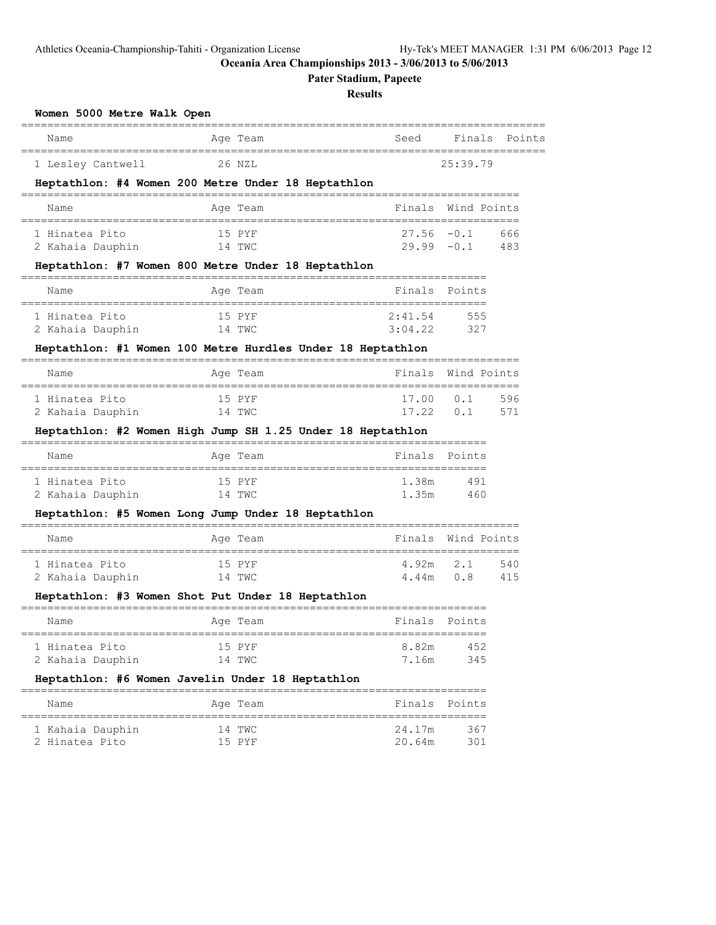**Pater Stadium, Papeete**

# **Results**

| Name                                                                   | Age Team                                                   | Seed                                                    | Finals<br>Points         |
|------------------------------------------------------------------------|------------------------------------------------------------|---------------------------------------------------------|--------------------------|
| 1 Lesley Cantwell                                                      | 26 NZL                                                     |                                                         | 25:39.79                 |
|                                                                        | Heptathlon: #4 Women 200 Metre Under 18 Heptathlon         |                                                         |                          |
| Name                                                                   | Ace Team                                                   |                                                         | Finals Wind Points       |
| 1 Hinatea Pito<br>2 Kahaia Dauphin                                     | 15 PYF<br>14 TWC                                           | $27.56 - 0.1$<br>$29.99 - 0.1$                          | 666<br>483               |
|                                                                        | Heptathlon: #7 Women 800 Metre Under 18 Heptathlon         |                                                         |                          |
| Name                                                                   | Age Team                                                   | Finals                                                  | Points                   |
| --------------------------------<br>1 Hinatea Pito<br>2 Kahaia Dauphin | 15 PYF<br>14 TWC                                           | ===============================<br>2:41.54<br>3:04.22   | 555<br>327               |
|                                                                        | Heptathlon: #1 Women 100 Metre Hurdles Under 18 Heptathlon |                                                         |                          |
| Name                                                                   | Age Team                                                   | Finals                                                  | Wind Points              |
| 1 Hinatea Pito<br>2 Kahaia Dauphin                                     | 15 PYF<br>14 TWC                                           | =====================================<br>17.00<br>17.22 | 0.1<br>596<br>0.1<br>571 |
|                                                                        | Heptathlon: #2 Women High Jump SH 1.25 Under 18 Heptathlon |                                                         |                          |
| Name                                                                   | Aqe Team                                                   | Finals                                                  | Points                   |
| 1 Hinatea Pito<br>2 Kahaia Dauphin                                     | 15 PYF<br>14 TWC                                           | 1.38m<br>1.35m                                          | 491<br>460               |
|                                                                        | Heptathlon: #5 Women Long Jump Under 18 Heptathlon         |                                                         |                          |
| Name                                                                   | Age Team                                                   | Finals                                                  | Wind Points              |
| 1 Hinatea Pito<br>2 Kahaia Dauphin                                     | 15 PYF<br>14 TWC                                           | 4.92m<br>4.44m                                          | 2.1<br>540<br>0.8<br>415 |
|                                                                        | Heptathlon: #3 Women Shot Put Under 18 Heptathlon          |                                                         |                          |
| Name                                                                   | Age Team                                                   | Finals                                                  | Points                   |
| 1 Hinatea Pito<br>2 Kahaia Dauphin                                     | 15 PYF<br>14 TWC                                           | 8.82m<br>7.16m                                          | 452<br>345               |
|                                                                        | Heptathlon: #6 Women Javelin Under 18 Heptathlon           |                                                         |                          |
|                                                                        |                                                            |                                                         |                          |

 1 Kahaia Dauphin 14 TWC 24.17m 367 2 Hinatea Pito 15 PYF 20.64m 301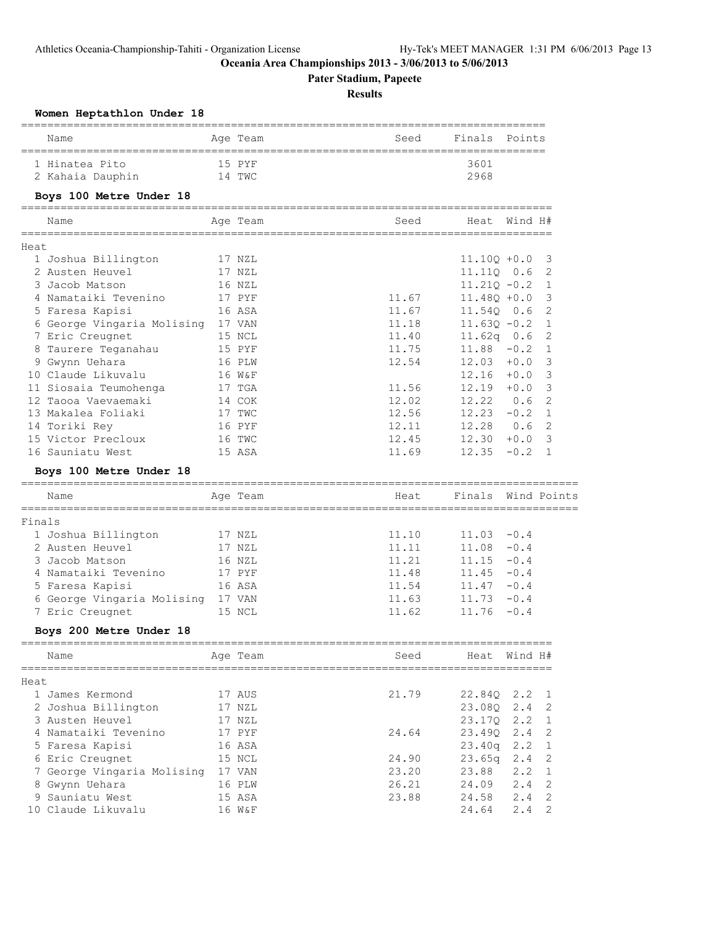**Pater Stadium, Papeete**

# **Results**

|        | Women Heptathlon Under 18         |          |       |                |             |                            |
|--------|-----------------------------------|----------|-------|----------------|-------------|----------------------------|
|        | Name                              | Age Team | Seed  | Finals         | Points      |                            |
|        | 1 Hinatea Pito                    | 15 PYF   |       | 3601           |             |                            |
|        | 2 Kahaia Dauphin                  | 14 TWC   |       | 2968           |             |                            |
|        | Boys 100 Metre Under 18           |          |       |                |             |                            |
|        | Name                              | Age Team | Seed  | Heat Wind H#   |             |                            |
| Heat   |                                   |          |       |                |             |                            |
|        | 1 Joshua Billington               | 17 NZL   |       | $11.10Q + 0.0$ |             | 3                          |
|        | 2 Austen Heuvel                   | 17 NZL   |       | 11.11Q 0.6     |             | 2                          |
|        | 3 Jacob Matson                    | 16 NZL   |       | $11.21Q - 0.2$ |             | 1                          |
|        | 4 Namataiki Tevenino              | 17 PYF   | 11.67 | 11.48Q +0.0    |             | 3                          |
|        | 5 Faresa Kapisi                   | 16 ASA   | 11.67 | 11.540 0.6     |             | 2                          |
|        | 6 George Vingaria Molising 17 VAN |          | 11.18 | $11.630 - 0.2$ |             | 1                          |
|        | 7 Eric Creugnet                   | 15 NCL   | 11.40 | 11.62q $0.6$   |             | 2                          |
|        | 8 Taurere Teganahau               | 15 PYF   | 11.75 | 11.88          | $-0.2$      | $\mathbf{1}$               |
|        | 9 Gwynn Uehara                    | 16 PLW   | 12.54 | 12.03          | $+0.0$      | 3                          |
|        | 10 Claude Likuvalu                | 16 W&F   |       | 12.16          | $+0.0$      | 3                          |
|        | 11 Siosaia Teumohenga             | 17 TGA   | 11.56 | 12.19          | $+0.0$      | 3                          |
|        | 12 Taooa Vaevaemaki               | 14 COK   | 12.02 | 12.22          | 0.6         | 2                          |
|        | 13 Makalea Foliaki                | 17 TWC   | 12.56 | 12.23          | $-0.2$      | 1                          |
|        | 14 Toriki Rey                     | 16 PYF   | 12.11 | 12.28          | 0.6         | 2                          |
|        | 15 Victor Precloux                | 16 TWC   | 12.45 | 12.30          | $+0.0$      | $\overline{\mathbf{3}}$    |
|        | 16 Sauniatu West                  | 15 ASA   | 11.69 | 12.35          | $-0.2$      | 1                          |
|        | Boys 100 Metre Under 18           |          |       |                |             |                            |
|        | Name                              | Age Team | Heat  | Finals         | Wind Points |                            |
| Finals |                                   |          |       |                |             |                            |
|        | 1 Joshua Billington               | 17 NZL   | 11.10 | 11.03          | $-0.4$      |                            |
|        | 2 Austen Heuvel                   | 17 NZL   | 11.11 | 11.08          | $-0.4$      |                            |
|        | 3 Jacob Matson                    | 16 NZL   | 11.21 | 11.15          | $-0.4$      |                            |
|        | 4 Namataiki Tevenino              | 17 PYF   | 11.48 | 11.45          | $-0.4$      |                            |
|        | 5 Faresa Kapisi                   | 16 ASA   | 11.54 | 11.47          | $-0.4$      |                            |
|        | 6 George Vingaria Molising 17 VAN |          | 11.63 | 11.73          | $-0.4$      |                            |
|        | 7 Eric Creugnet                   | 15 NCL   | 11.62 | 11.76          | $-0.4$      |                            |
|        | Boys 200 Metre Under 18           |          |       |                |             |                            |
|        | Name                              | Age Team | Seed  | Heat Wind H#   |             |                            |
|        |                                   |          |       |                |             |                            |
| Heat   |                                   |          |       |                |             |                            |
|        | 1 James Kermond                   | 17 AUS   | 21.79 | 22.84Q         | 2.2         | 1                          |
|        | 2 Joshua Billington               | 17 NZL   |       | 23.08Q         | 2.4         | $\overline{\phantom{0}}^2$ |
|        | 3 Austen Heuvel                   | 17 NZL   |       | 23.17Q         | 2.2         | 1                          |
|        | 4 Namataiki Tevenino              | 17 PYF   | 24.64 | 23.49Q         | 2.4         | 2                          |
|        | 5 Faresa Kapisi                   | 16 ASA   |       | 23.40q         | 2.2         | $\mathbf{1}$               |
|        | 6 Eric Creugnet                   | 15 NCL   | 24.90 | 23.65q         | 2.4         | 2                          |
|        | 7 George Vingaria Molising 17 VAN |          | 23.20 | 23.88          | 2.2         | 1                          |
|        | 8 Gwynn Uehara                    | 16 PLW   | 26.21 | 24.09          | 2.4         | 2                          |
|        | 9 Sauniatu West                   | 15 ASA   | 23.88 | 24.58          | 2.4         | 2                          |
|        | 10 Claude Likuvalu                | 16 W&F   |       | 24.64          | 2.4         | 2                          |
|        |                                   |          |       |                |             |                            |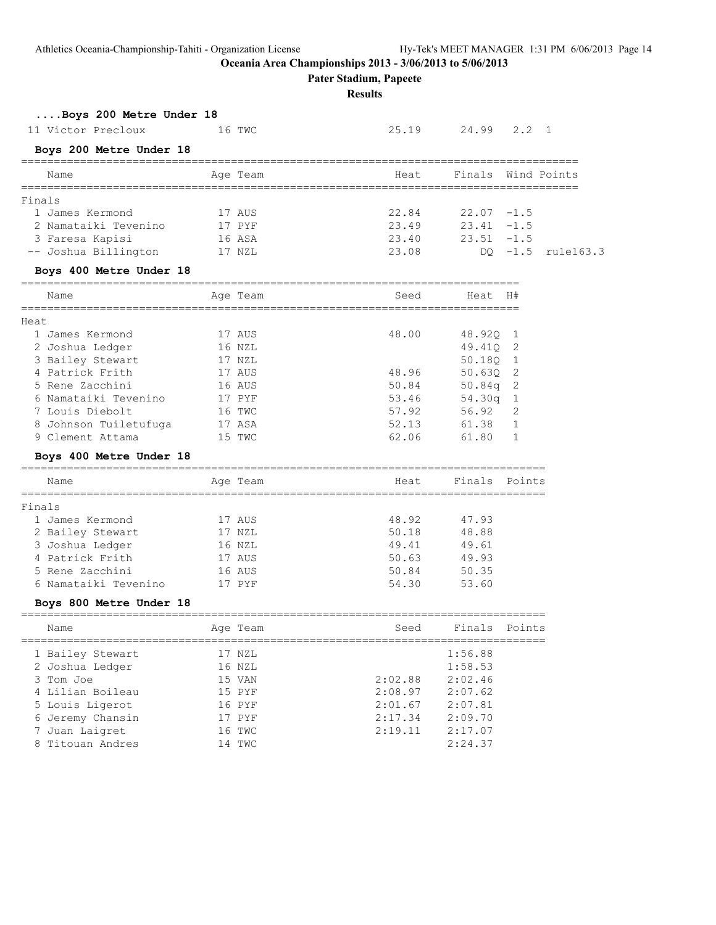**Pater Stadium, Papeete**

**Results**

# **....Boys 200 Metre Under 18**

| 11 Victor Precloux | 16 TWC | 25.19 24.99 2.2 1 |  |  |
|--------------------|--------|-------------------|--|--|
|                    |        |                   |  |  |

# **Boys 200 Metre Under 18**

| Name                 | Age Team | Heat. |               | Finals Wind Points |
|----------------------|----------|-------|---------------|--------------------|
| Finals               |          |       |               |                    |
| 1 James Kermond      | 17 AUS   | 22.84 | $22.07 - 1.5$ |                    |
| 2 Namataiki Tevenino | 17 PYF   | 23.49 | $23.41 - 1.5$ |                    |
| 3 Faresa Kapisi      | 16 ASA   | 23.40 | $23.51 - 1.5$ |                    |
| -- Joshua Billington | 17 NZL   | 23.08 |               | DQ -1.5 rule163.3  |
|                      |          |       |               |                    |

#### **Boys 400 Metre Under 18**

|      | Name                  | Age Team | Seed  | Heat               | H#             |
|------|-----------------------|----------|-------|--------------------|----------------|
| Heat |                       |          |       |                    |                |
|      | 1 James Kermond       | 17 AUS   | 48.00 | 48.920 1           |                |
|      | 2 Joshua Ledger       | 16 NZL   |       | 49.410             | - 2            |
|      | 3 Bailey Stewart      | 17 NZL   |       | 50.180             | $\overline{1}$ |
|      | 4 Patrick Frith       | 17 AUS   | 48.96 | 50.630 2           |                |
|      | 5 Rene Zacchini       | 16 AUS   | 50.84 | 50.84q             | - 2            |
|      | 6 Namataiki Tevenino  | 17 PYF   | 53.46 | 54.30 <sub>q</sub> |                |
|      | 7 Louis Diebolt       | 16 TWC   | 57.92 | 56.92              | 2              |
|      | 8 Johnson Tuiletufuga | 17 ASA   | 52.13 | 61.38              |                |
|      | 9 Clement Attama      | 15 TWC   | 62.06 | 61.80              |                |
|      |                       |          |       |                    |                |

# **Boys 400 Metre Under 18**

|        | Name             | Age Team | Heat  | Finals Points |  |
|--------|------------------|----------|-------|---------------|--|
| Finals |                  |          |       |               |  |
|        |                  |          |       |               |  |
|        | 1 James Kermond  | 17 AUS   | 48.92 | 47.93         |  |
|        | 2 Bailey Stewart | 17 NZL   | 50.18 | 48.88         |  |
|        | 3 Joshua Ledger  | 16 NZL   | 49.41 | 49.61         |  |
|        | 4 Patrick Frith  | 17 AUS   | 50.63 | 49.93         |  |

 5 Rene Zacchini 16 AUS 50.84 50.35 6 Namataiki Tevenino 17 PYF 54.30 53.60

#### **Boys 800 Metre Under 18**

| Name             | Age Team | Seed    | Finals  | Points |
|------------------|----------|---------|---------|--------|
| 1 Bailey Stewart | 17 NZL   |         | 1:56.88 |        |
| 2 Joshua Ledger  | 16 NZL   |         | 1:58.53 |        |
| 3 Tom Joe        | 15 VAN   | 2:02.88 | 2:02.46 |        |
| 4 Lilian Boileau | 15 PYF   | 2:08.97 | 2:07.62 |        |
| 5 Louis Ligerot  | 16 PYF   | 2:01.67 | 2:07.81 |        |
| 6 Jeremy Chansin | 17 PYF   | 2:17.34 | 2:09.70 |        |
| 7 Juan Laigret   | 16 TWC   | 2:19.11 | 2:17.07 |        |
| 8 Titouan Andres | 14 TWC   |         | 2:24.37 |        |
|                  |          |         |         |        |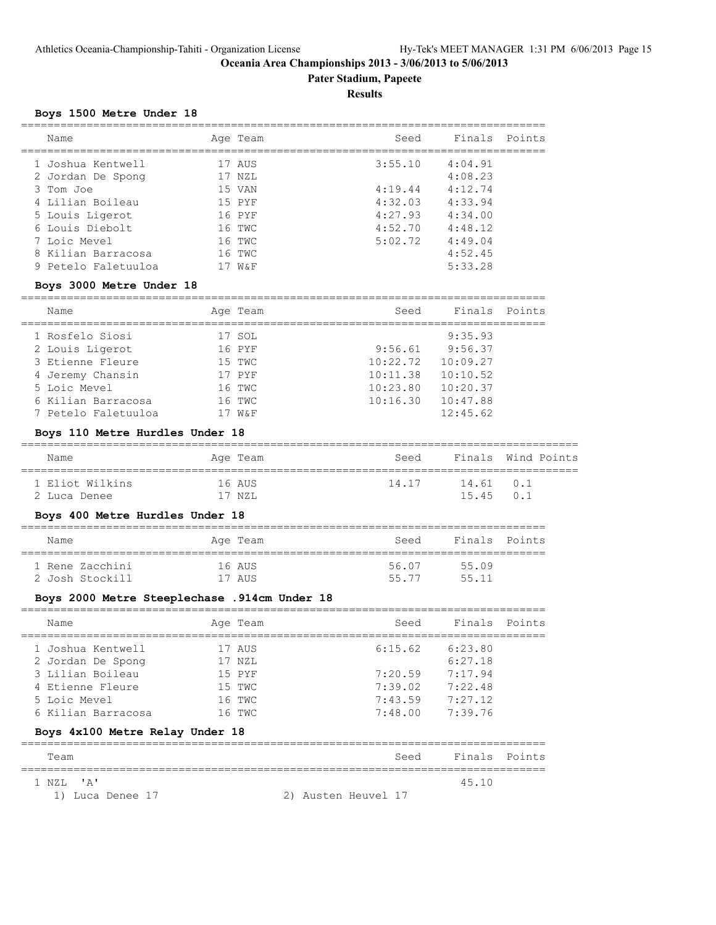**Pater Stadium, Papeete**

**Results**

#### **Boys 1500 Metre Under 18**

| Name                | Age Team | Seed    | Finals Points |  |
|---------------------|----------|---------|---------------|--|
| 1 Joshua Kentwell   | 17 AUS   | 3:55.10 | 4:04.91       |  |
| 2 Jordan De Spong   | 17 NZL   |         | 4:08.23       |  |
| 3 Tom Joe           | 15 VAN   | 4:19.44 | 4:12.74       |  |
| 4 Lilian Boileau    | 15 PYF   | 4:32.03 | 4:33.94       |  |
| 5 Louis Ligerot     | 16 PYF   | 4:27.93 | 4:34.00       |  |
| 6 Louis Diebolt     | 16 TWC   | 4:52.70 | 4:48.12       |  |
| 7 Loic Mevel        | 16 TWC   | 5:02.72 | 4:49.04       |  |
| 8 Kilian Barracosa  | 16 TWC   |         | 4:52.45       |  |
| 9 Petelo Faletuuloa | WδΕ      |         | 5:33.28       |  |

#### **Boys 3000 Metre Under 18**

| Name                | Age Team | Seed     | Finals Points |  |
|---------------------|----------|----------|---------------|--|
| 1 Rosfelo Siosi     | 17 SOL   |          | 9:35.93       |  |
| 2 Louis Ligerot     | 16 PYF   | 9:56.61  | 9:56.37       |  |
| 3 Etienne Fleure    | 15 TWC   | 10:22.72 | 10:09.27      |  |
| 4 Jeremy Chansin    | 17 PYF   | 10:11.38 | 10:10.52      |  |
| 5 Loic Mevel        | 16 TWC   | 10:23.80 | 10:20.37      |  |
| 6 Kilian Barracosa  | 16 TWC   | 10:16.30 | 10:47.88      |  |
| 7 Petelo Faletuuloa | W&F      |          | 12:45.62      |  |

#### **Boys 110 Metre Hurdles Under 18**

| Name            | Age Team | Seed  | Finals Wind Points |  |
|-----------------|----------|-------|--------------------|--|
| 1 Eliot Wilkins | 16 AUS   | 14.17 | $14.61$ 0.1        |  |
| 2 Luca Denee    | 17 NZL   |       | $15.45 \quad 0.1$  |  |

#### **Boys 400 Metre Hurdles Under 18**

| Name |                 | Age Team | Seed  | Finals Points |  |
|------|-----------------|----------|-------|---------------|--|
|      | 1 Rene Zacchini | 16 AUS   | 56.07 | 55.09         |  |
|      | 2 Josh Stockill | 17 AUS   | 55.77 | 55 11         |  |

#### **Boys 2000 Metre Steeplechase .914cm Under 18**

| Name |                                                                                                                      | Seed                                                                 | Finals Points |  |
|------|----------------------------------------------------------------------------------------------------------------------|----------------------------------------------------------------------|---------------|--|
|      |                                                                                                                      | 6:15.62                                                              | 6:23.80       |  |
|      |                                                                                                                      |                                                                      | 6:27.18       |  |
|      |                                                                                                                      | 7:20.59                                                              | 7:17.94       |  |
|      |                                                                                                                      | 7:39.02                                                              | 7:22.48       |  |
|      |                                                                                                                      | 7:43.59                                                              | 7:27.12       |  |
|      |                                                                                                                      | 7:48.00                                                              | 7:39.76       |  |
|      | 1 Joshua Kentwell<br>2 Jordan De Spong<br>3 Lilian Boileau<br>4 Etienne Fleure<br>5 Loic Mevel<br>6 Kilian Barracosa | Age Team<br>17 AUS<br>17 NZL<br>15 PYF<br>15 TWC<br>16 TWC<br>16 TWC |               |  |

# **Boys 4x100 Metre Relay Under 18**

| Team | Seed | Points<br>Finals<br>$\overline{\phantom{a}}$ |
|------|------|----------------------------------------------|
|      |      |                                              |

1 NZL 'A' 45.10

1) Luca Denee 17 2) Austen Heuvel 17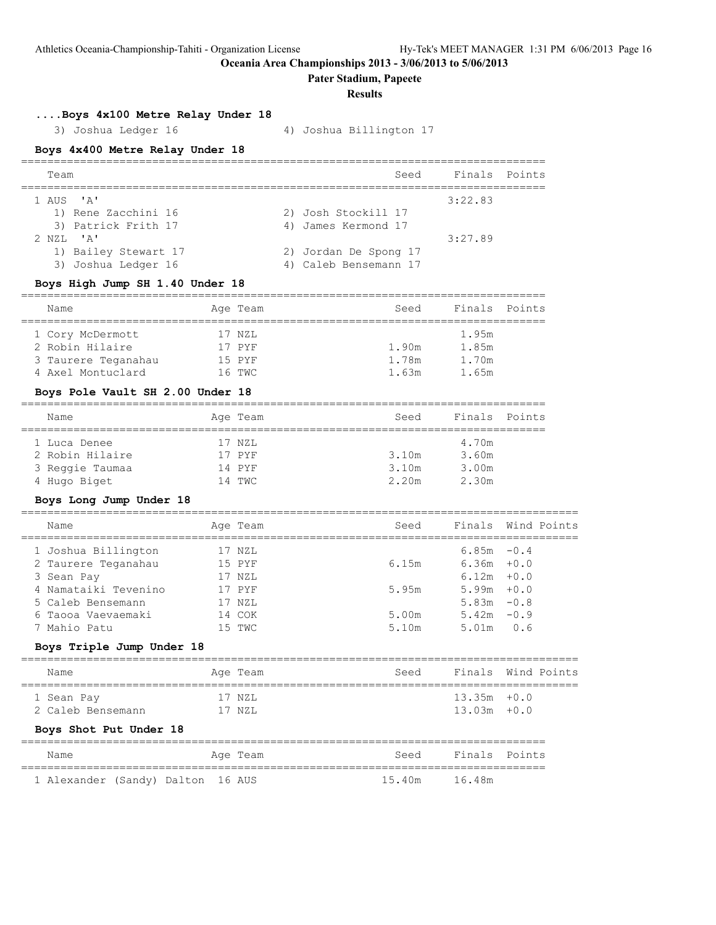**Pater Stadium, Papeete**

**Results**

# **....Boys 4x100 Metre Relay Under 18**

3) Joshua Ledger 16 4) Joshua Billington 17

### **Boys 4x400 Metre Relay Under 18**

| Team                                                                                 | Seed                                           | Finals Points |  |
|--------------------------------------------------------------------------------------|------------------------------------------------|---------------|--|
| 1 AUS 'A'<br>1) Rene Zacchini 16<br>3) Patrick Frith 17                              | 2) Josh Stockill 17<br>4) James Kermond 17     | 3:22.83       |  |
| $2$ NZL $\blacksquare$ $\blacksquare$<br>1) Bailey Stewart 17<br>3) Joshua Ledger 16 | 2) Jordan De Spong 17<br>4) Caleb Bensemann 17 | 3:27.89       |  |

#### **Boys High Jump SH 1.40 Under 18**

| Name                | Age Team | Seed  | Finals Points |  |
|---------------------|----------|-------|---------------|--|
|                     |          |       |               |  |
| 1 Cory McDermott    | 17 NZL   |       | 1.95m         |  |
| 2 Robin Hilaire     | 17 PYF   | 1.90m | 1.85m         |  |
| 3 Taurere Teganahau | 15 PYF   | 1.78m | 1.70m         |  |
| 4 Axel Montuclard   | 16 TWC   | 1.63m | 1.65m         |  |

#### **Boys Pole Vault SH 2.00 Under 18**

| Name            |  | Age Team | Seed  | Finals Points |  |  |  |  |
|-----------------|--|----------|-------|---------------|--|--|--|--|
|                 |  |          |       |               |  |  |  |  |
| 1 Luca Denee    |  | 17 NZL   |       | 4.70m         |  |  |  |  |
| 2 Robin Hilaire |  | 17 PYF   | 3.10m | 3.60m         |  |  |  |  |
| 3 Reggie Taumaa |  | 14 PYF   | 3.10m | 3.00m         |  |  |  |  |
| 4 Hugo Biget    |  | 14 TWC   | 2.20m | 2.30m         |  |  |  |  |

# **Boys Long Jump Under 18**

| Name                 | Age Team | Seed  |               | Finals Wind Points |
|----------------------|----------|-------|---------------|--------------------|
| 1 Joshua Billington  | 17 NZL   |       | $6.85m - 0.4$ |                    |
| 2 Taurere Teganahau  | 15 PYF   | 6.15m | $6.36m + 0.0$ |                    |
| 3 Sean Pay           | 17 NZL   |       | $6.12m + 0.0$ |                    |
| 4 Namataiki Tevenino | 17 PYF   | 5.95m | $5.99m + 0.0$ |                    |
| 5 Caleb Bensemann    | 17 NZL   |       | 5.83m         | $-0.8$             |
| 6 Taooa Vaevaemaki   | 14 COK   | 5.00m | 5.42m         | $-0.9$             |
| 7 Mahio Patu         | 15 TWC   | 5.10m | 5.01m         | 0.6                |
|                      |          |       |               |                    |

#### **Boys Triple Jump Under 18**

| Name                   | Age Team | Seed |                | Finals Wind Points |
|------------------------|----------|------|----------------|--------------------|
| 1 Sean Pay             | 17 NZL   |      | $13.35m + 0.0$ |                    |
| 2 Caleb Bensemann      | 17 NZL   |      | $13.03m + 0.0$ |                    |
| Boys Shot Put Under 18 |          |      |                |                    |

#### ================================================================================ Name **Age Team** Age Team Seed Finals Points ================================================================================ 1 Alexander (Sandy) Dalton 16 AUS 15.40m 16.48m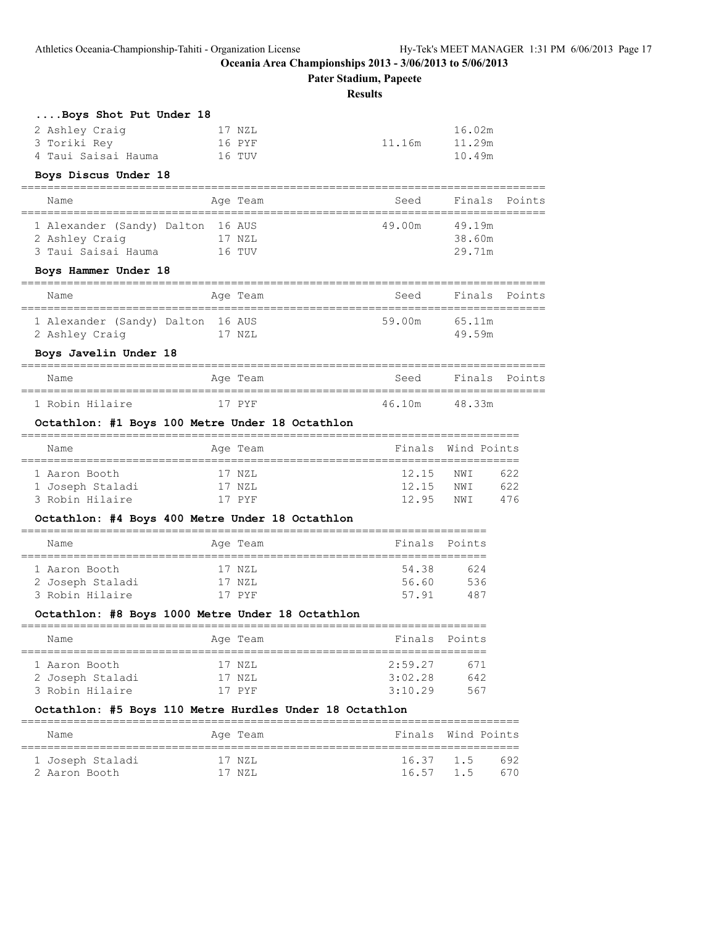**Pater Stadium, Papeete**

**Results**

| Boys Shot Put Under 18                                  |                              |                            |                    |               |
|---------------------------------------------------------|------------------------------|----------------------------|--------------------|---------------|
| 2 Ashley Craig                                          | 17 NZL                       |                            | 16.02m             |               |
| 3 Toriki Rey                                            | 16 PYF                       | 11.16m                     | 11.29m             |               |
| 4 Taui Saisai Hauma                                     | 16 TUV                       |                            | 10.49m             |               |
| Boys Discus Under 18<br>-----------------------------   |                              |                            |                    |               |
| Name<br>---------------------------                     | Aqe Team<br>================ | Seed<br>================== | Finals             | Points        |
| 1 Alexander (Sandy) Dalton 16 AUS                       |                              | 49.00m                     | 49.19m             |               |
| 2 Ashley Craig                                          | 17 NZL                       |                            | 38.60m             |               |
| 3 Taui Saisai Hauma                                     | 16 TUV                       |                            | 29.71m             |               |
| Boys Hammer Under 18                                    |                              |                            |                    |               |
| Name                                                    | Age Team                     | Seed                       |                    | Finals Points |
| 1 Alexander (Sandy) Dalton 16 AUS                       |                              | 59.00m                     | 65.11m             |               |
| 2 Ashley Craig                                          | 17 NZL                       |                            | 49.59m             |               |
| Boys Javelin Under 18                                   |                              |                            |                    |               |
| Name                                                    | Age Team                     | Seed                       |                    | Finals Points |
| 1 Robin Hilaire                                         | 17 PYF                       | 46.10m                     | 48.33m             |               |
| Octathlon: #1 Boys 100 Metre Under 18 Octathlon         |                              |                            |                    |               |
| Name                                                    | Age Team                     |                            | Finals Wind Points |               |
| 1 Aaron Booth                                           | 17 NZL                       | 12.15                      | NWI                | 622           |
| 1 Joseph Staladi                                        | 17 NZL                       | 12.15                      | NWI                | 622           |
| 3 Robin Hilaire                                         | 17 PYF                       | 12.95                      | NWI                | 476           |
| Octathlon: #4 Boys 400 Metre Under 18 Octathlon         |                              |                            |                    |               |
| Name                                                    | Age Team                     | Finals                     | Points             |               |
| 1 Aaron Booth                                           | 17 NZL                       | 54.38                      | 624                |               |
| 2 Joseph Staladi                                        | 17 NZL                       | 56.60                      | 536                |               |
| 3 Robin Hilaire                                         | 17 PYF                       | 57.91                      | 487                |               |
| Octathlon: #8 Boys 1000 Metre Under 18 Octathlon        |                              |                            |                    |               |
| Name                                                    | Age Team                     | Finals                     | Points             |               |
| 1 Aaron Booth                                           | 17 NZL                       | 2:59.27                    | 671                |               |
| 2 Joseph Staladi                                        | 17 NZL                       | 3:02.28                    | 642                |               |
| 3 Robin Hilaire                                         | 17 PYF                       | 3:10.29                    | 567                |               |
| Octathlon: #5 Boys 110 Metre Hurdles Under 18 Octathlon |                              |                            |                    |               |
| Name                                                    | Age Team                     | ==========<br>Finals       | Wind Points        |               |
|                                                         |                              |                            | ================== |               |
| 1 Joseph Staladi<br>2 Aaron Booth                       | 17 NZL<br>17 NZL             | 16.37<br>16.57             | 1.5<br>1.5         | 692<br>670    |
|                                                         |                              |                            |                    |               |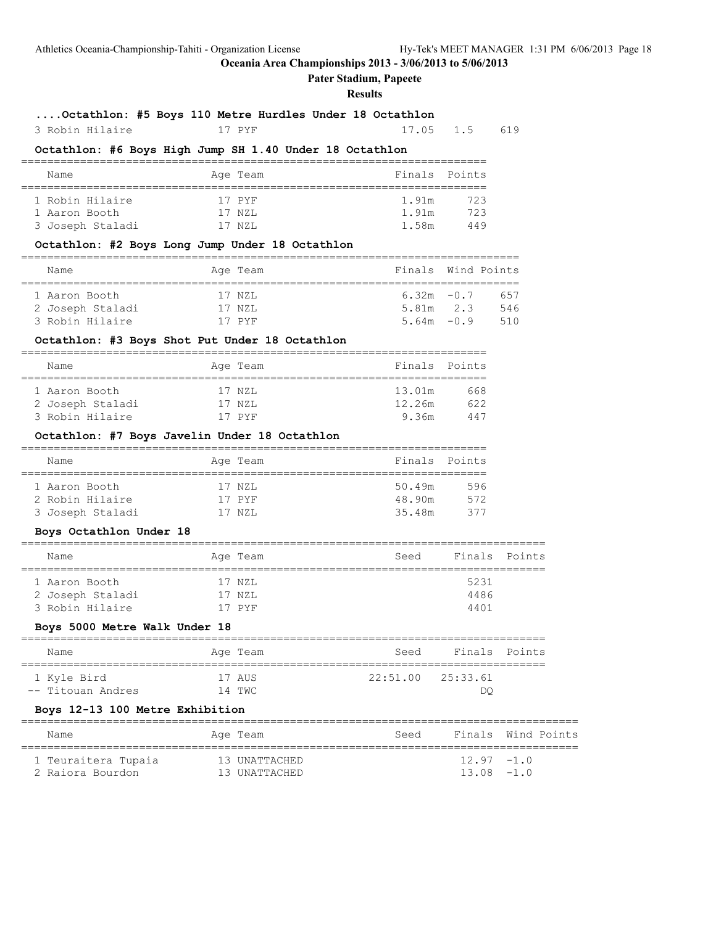#### **Pater Stadium, Papeete**

#### **Results**

# **....Octathlon: #5 Boys 110 Metre Hurdles Under 18 Octathlon**

# 3 Robin Hilaire 17 PYF 17.05 1.5 619

# **Octathlon: #6 Boys High Jump SH 1.40 Under 18 Octathlon**

|  | Name             |  | Age Team | Finals Points |     |  |  |  |  |
|--|------------------|--|----------|---------------|-----|--|--|--|--|
|  |                  |  |          |               |     |  |  |  |  |
|  | 1 Robin Hilaire  |  | 17 PYF   | 1.91m         | 723 |  |  |  |  |
|  | 1 Aaron Booth    |  | 17 NZL   | 1.91m         | 723 |  |  |  |  |
|  | 3 Joseph Staladi |  | 17 NZL   | 1 5.8m        | 449 |  |  |  |  |

#### **Octathlon: #2 Boys Long Jump Under 18 Octathlon**

| Name             |  | Age Team |  |               | Finals Wind Points |
|------------------|--|----------|--|---------------|--------------------|
|                  |  |          |  |               |                    |
| 1 Aaron Booth    |  | 17 NZL   |  | $6.32m - 0.7$ | 657                |
| 2 Joseph Staladi |  | 17 NZL   |  | $5.81m$ 2.3   | 546                |
| 3 Robin Hilaire  |  | 17 PYF   |  | $5.64m - 0.9$ | 510                |

#### **Octathlon: #3 Boys Shot Put Under 18 Octathlon**

### =======================================================================

| Name             |  | Finals Points                          |     |
|------------------|--|----------------------------------------|-----|
|                  |  |                                        |     |
| 1 Aaron Booth    |  | 13.01m                                 | 668 |
| 2 Joseph Staladi |  | 12.26m                                 | 622 |
| 3 Robin Hilaire  |  | 9.36m                                  | 447 |
|                  |  | Age Team<br>17 NZL<br>17 NZL<br>17 PYF |     |

#### **Octathlon: #7 Boys Javelin Under 18 Octathlon**

| Name             |  | Age Team | Finals Points |     |  |  |  |  |  |
|------------------|--|----------|---------------|-----|--|--|--|--|--|
|                  |  |          |               |     |  |  |  |  |  |
| 1 Aaron Booth    |  | 17 NZL   | 50.49m        | 596 |  |  |  |  |  |
| 2 Robin Hilaire  |  | 17 PYF   | 48.90m        | 572 |  |  |  |  |  |
| 3 Joseph Staladi |  | 17 NZL   | 35.48m        | 377 |  |  |  |  |  |

### **Boys Octathlon Under 18**

| Name             |  | Age Team | Seed | Finals Points |  |  |  |  |  |
|------------------|--|----------|------|---------------|--|--|--|--|--|
|                  |  |          |      |               |  |  |  |  |  |
| 1 Aaron Booth    |  | 17 NZL   |      | 5231          |  |  |  |  |  |
| 2 Joseph Staladi |  | 17 NZL   |      | 4486          |  |  |  |  |  |
| 3 Robin Hilaire  |  | 17 PYF   |      | 4401          |  |  |  |  |  |
|                  |  |          |      |               |  |  |  |  |  |

#### **Boys 5000 Metre Walk Under 18**

| Name              | Age Team | Seed                  | Finals Points |  |  |  |  |  |  |
|-------------------|----------|-----------------------|---------------|--|--|--|--|--|--|
| 1 Kyle Bird       | 17 AUS   | $22:51.00$ $25:33.61$ |               |  |  |  |  |  |  |
| -- Titouan Andres | 14 TWC   |                       | DΟ            |  |  |  |  |  |  |

### **Boys 12-13 100 Metre Exhibition**

| Name                                    | Age Team                       | Seed |                                | Finals Wind Points |
|-----------------------------------------|--------------------------------|------|--------------------------------|--------------------|
| 1 Teuraitera Tupaia<br>2 Raiora Bourdon | 13 UNATTACHED<br>13 UNATTACHED |      | $12.97 - 1.0$<br>$13.08 - 1.0$ |                    |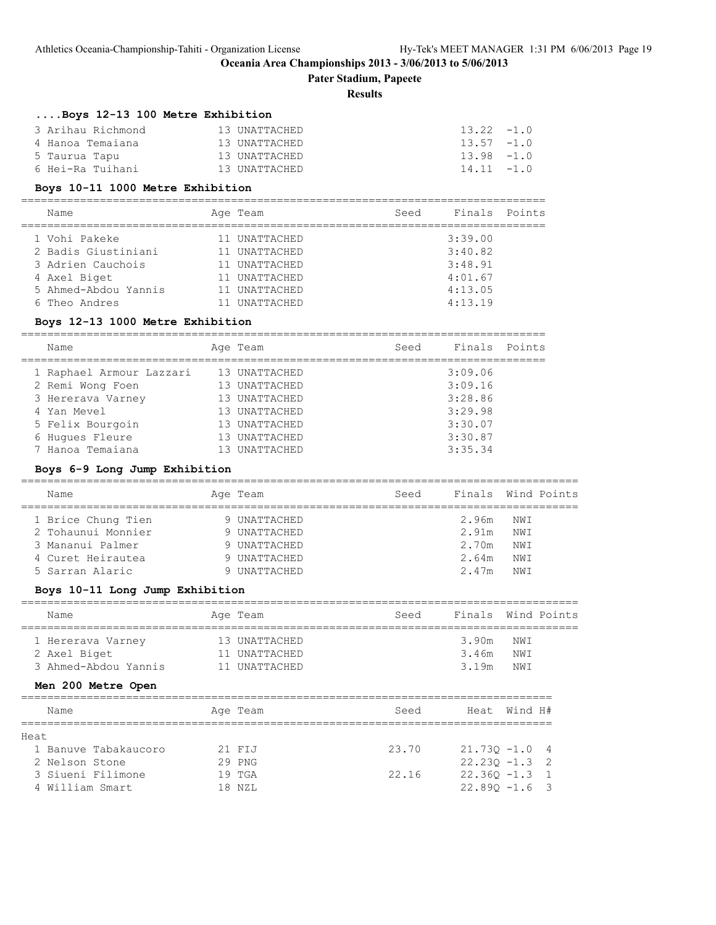**Pater Stadium, Papeete**

#### **Results**

# **....Boys 12-13 100 Metre Exhibition**

| 3 Arihau Richmond | 13 UNATTACHED | $13.22 - 1.0$ |
|-------------------|---------------|---------------|
| 4 Hanoa Temaiana  | 13 UNATTACHED | $13.57 - 1.0$ |
| 5 Taurua Tapu     | 13 UNATTACHED | $13.98 - 1.0$ |
| 6 Hei-Ra Tuihani  | 13 UNATTACHED | $14.11 - 1.0$ |

#### **Boys 10-11 1000 Metre Exhibition**

| Name                 | Age Team          | Seed | Finals Points |  |
|----------------------|-------------------|------|---------------|--|
| 1 Vohi Pakeke        | UNATTACHED        |      | 3:39.00       |  |
| 2 Badis Giustiniani  | 11 UNATTACHED     |      | 3:40.82       |  |
| 3 Adrien Cauchois    | 11 UNATTACHED     |      | 3:48.91       |  |
| 4 Axel Biget         | UNATTACHED        |      | 4:01.67       |  |
| 5 Ahmed-Abdou Yannis | 11 UNATTACHED     |      | 4:13.05       |  |
| 6 Theo Andres        | <b>UNATTACHED</b> |      | 4:13.19       |  |

#### **Boys 12-13 1000 Metre Exhibition**

| Name                     | Age Team      | Seed | Finals  | Points |
|--------------------------|---------------|------|---------|--------|
| 1 Raphael Armour Lazzari | 13 UNATTACHED |      | 3:09.06 |        |
| 2 Remi Wong Foen         | 13 UNATTACHED |      | 3:09.16 |        |
| 3 Hererava Varney        | 13 UNATTACHED |      | 3:28.86 |        |
| 4 Yan Mevel              | 13 UNATTACHED |      | 3:29.98 |        |
| 5 Felix Bourgoin         | 13 UNATTACHED |      | 3:30.07 |        |
| 6 Hugues Fleure          | 13 UNATTACHED |      | 3:30.87 |        |
| 7 Hanoa Temaiana         | UNATTACHED    |      | 3:35.34 |        |

# **Boys 6-9 Long Jump Exhibition**

| Name               | Age Team     | Seed |       | Finals Wind Points |
|--------------------|--------------|------|-------|--------------------|
| 1 Brice Chung Tien | 9 UNATTACHED |      | 2.96m | NWI                |
| 2 Tohaunui Monnier | 9 UNATTACHED |      | 2.91m | NWI                |
| 3 Mananui Palmer   | 9 UNATTACHED |      | 2.70m | NWI                |
| 4 Curet Heirautea  | 9 UNATTACHED |      | 2.64m | NWI                |
| 5 Sarran Alaric    | 9 UNATTACHED |      | 2 47m | NW T               |

# **Boys 10-11 Long Jump Exhibition**

| Name                 | Age Team      | Seed |       | Finals Wind Points |  |
|----------------------|---------------|------|-------|--------------------|--|
|                      |               |      |       |                    |  |
| 1 Hererava Varney    | 13 UNATTACHED |      | 3.90m | NWI                |  |
| 2 Axel Biget         | 11 UNATTACHED |      | 3.46m | NWI                |  |
| 3 Ahmed-Abdou Yannis | 11 UNATTACHED |      | 3.19m | NWI                |  |

#### **Men 200 Metre Open**

|       | Name                 |  | Age Team | Seed  | Heat Wind H#     |  |  |  |  |
|-------|----------------------|--|----------|-------|------------------|--|--|--|--|
|       |                      |  |          |       |                  |  |  |  |  |
| Heat. |                      |  |          |       |                  |  |  |  |  |
|       | 1 Banuve Tabakaucoro |  | 21 FIJ   | 23.70 | $21.730 - 1.04$  |  |  |  |  |
|       | 2 Nelson Stone       |  | 29 PNG   |       | $22.230 - 1.3$ 2 |  |  |  |  |
|       | 3 Siueni Filimone    |  | $19$ TGA | 22.16 | $22.360 - 1.3$ 1 |  |  |  |  |
|       | 4 William Smart      |  | 18 NZL   |       | $22.890 - 1.6$ 3 |  |  |  |  |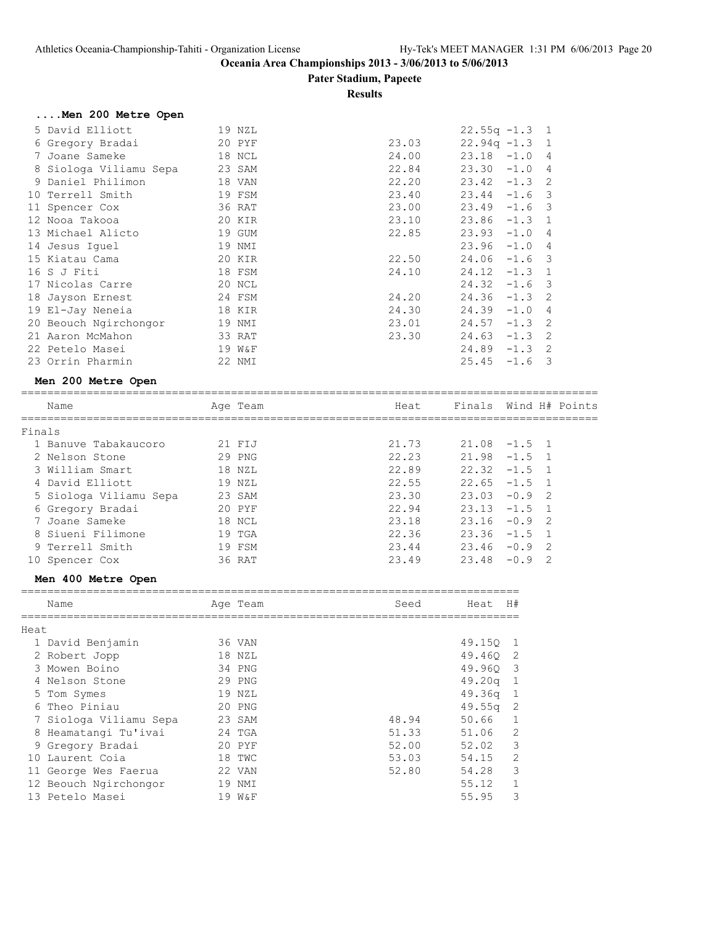**Pater Stadium, Papeete**

#### **Results**

# **....Men 200 Metre Open**

| 5 David Elliott        | 19 NZL |       | $22.55q - 1.3$ 1 |          |                         |
|------------------------|--------|-------|------------------|----------|-------------------------|
| 6 Gregory Bradai       | 20 PYF | 23.03 | $22.94q - 1.3$ 1 |          |                         |
| 7 Joane Sameke         | 18 NCL | 24.00 | $23.18 - 1.0$    |          | 4                       |
| 8 Siologa Viliamu Sepa | 23 SAM | 22.84 | 23.30            | $-1.0$   | 4                       |
| 9 Daniel Philimon      | 18 VAN | 22.20 | 23.42            | $-1.3$ 2 |                         |
| 10 Terrell Smith       | 19 FSM | 23.40 | 23.44            | $-1.6$   | - 3                     |
| 11 Spencer Cox         | 36 RAT | 23.00 | 23.49            | $-1.6$ 3 |                         |
| 12 Nooa Takooa         | 20 KIR | 23.10 | 23.86            | $-1.3$   | $\overline{1}$          |
| 13 Michael Alicto      | 19 GUM | 22.85 | 23.93            | $-1.0$   | 4                       |
| 14 Jesus Iquel         | 19 NMI |       | 23.96            | $-1.0$   | 4                       |
| 15 Kiatau Cama         | 20 KIR | 22.50 | 24.06            | $-1.6$   | $\overline{\mathbf{3}}$ |
| 16 S J Fiti            | 18 FSM | 24.10 | 24.12            | $-1.3$   | $\overline{1}$          |
| 17 Nicolas Carre       | 20 NCL |       | 24.32            | $-1.6$   | $\overline{\mathbf{3}}$ |
| 18 Jayson Ernest       | 24 FSM | 24.20 | 24.36            | $-1.3$   | $\overline{2}$          |
| 19 El-Jay Neneia       | 18 KIR | 24.30 | 24.39            | $-1.0$   | 4                       |
| 20 Beouch Ngirchongor  | 19 NMI | 23.01 | 24.57            | $-1.3$   | 2                       |
| 21 Aaron McMahon       | 33 RAT | 23.30 | 24.63            | $-1.3$   | $\mathcal{L}$           |
| 22 Petelo Masei        | 19 W&F |       | 24.89            | $-1.3$   | $\mathcal{L}$           |
| 23 Orrin Pharmin       | 22 NMI |       | 25.45            | $-1.6$   | 3                       |

# **Men 200 Metre Open**

|    | Name                   | Age Team | Heat  |               | Finals Wind H# Points |
|----|------------------------|----------|-------|---------------|-----------------------|
|    | Finals                 |          |       |               |                       |
|    | 1 Banuve Tabakaucoro   | 21 FIJ   | 21.73 |               | $21.08 -1.5 1$        |
|    | 2 Nelson Stone         | 29 PNG   | 22.23 | $21.98 - 1.5$ | $\overline{1}$        |
|    | 3 William Smart        | 18 NZL   | 22.89 |               | $22.32 -1.5$ 1        |
|    | 4 David Elliott        | 19 NZL   | 22.55 |               | $22.65 -1.5$ 1        |
|    | 5 Siologa Viliamu Sepa | 23 SAM   | 23.30 | 23.03         | $-0.9$<br>-2          |
|    | 6 Gregory Bradai       | 20 PYF   | 22.94 |               | $23.13 -1.5$ 1        |
|    | 7 Joane Sameke         | 18 NCL   | 23.18 | $23.16 - 0.9$ | - 2                   |
|    | 8 Siueni Filimone      | $19$ TGA | 22.36 |               | $23.36 -1.5$ 1        |
|    | 9 Terrell Smith        | 19 FSM   | 23.44 | $23.46 - 0.9$ | - 2                   |
| 10 | Spencer Cox            | 36 RAT   | 23.49 | 23.48         | $-0.9$<br>-2          |
|    |                        |          |       |               |                       |

#### **Men 400 Metre Open**

|      | Name                   |    | Age Team | Seed  | Heat   | H#             |
|------|------------------------|----|----------|-------|--------|----------------|
| Heat |                        |    |          |       |        |                |
|      | 1 David Benjamin       |    | 36 VAN   |       | 49.150 | $\overline{1}$ |
|      | 2 Robert Jopp          |    | 18 NZL   |       | 49.460 | -2             |
|      | 3 Mowen Boino          |    | 34 PNG   |       | 49.960 | -3             |
|      | 4 Nelson Stone         |    | 29 PNG   |       | 49.20q | $\mathbf{1}$   |
|      | 5 Tom Symes            |    | 19 NZL   |       | 49.36g | -1             |
|      | 6 Theo Piniau          |    | 20 PNG   |       | 49.55q | -2             |
|      | 7 Siologa Viliamu Sepa |    | 23 SAM   | 48.94 | 50.66  |                |
| 8    | Heamatangi Tu'ivai     |    | $24$ TGA | 51.33 | 51.06  | 2              |
|      | 9 Gregory Bradai       |    | 20 PYF   | 52.00 | 52.02  | 3              |
| 10   | - Laurent Coia         |    | 18 TWC   | 53.03 | 54.15  | 2              |
|      | 11 George Wes Faerua   |    | 22 VAN   | 52.80 | 54.28  | 3              |
|      | 12 Beouch Ngirchongor  | 19 | NMI      |       | 55.12  | 1              |
|      | 13 Petelo Masei        |    | 19 W&F   |       | 55.95  | 3              |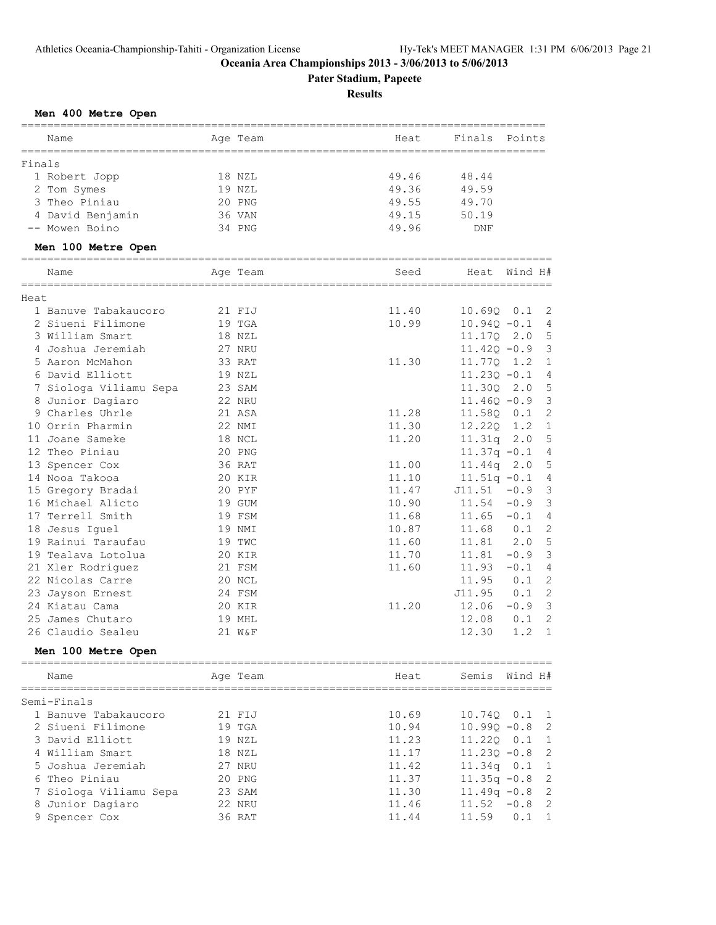**Pater Stadium, Papeete**

**Results**

### **Men 400 Metre Open**

| Name                                      | Age Team               | Heat           | Finals Points  |                          |
|-------------------------------------------|------------------------|----------------|----------------|--------------------------|
|                                           |                        |                |                |                          |
| Finals<br>1 Robert Jopp                   | 18 NZL                 | 49.46          | 48.44          |                          |
| 2 Tom Symes                               | 19 NZL                 | 49.36          | 49.59          |                          |
| 3 Theo Piniau                             |                        |                |                |                          |
|                                           | 20 PNG                 | 49.55          | 49.70          |                          |
| 4 David Benjamin<br>-- Mowen Boino        | 36 VAN<br>34 PNG       | 49.15<br>49.96 | 50.19          |                          |
|                                           |                        |                | DNF            |                          |
| Men 100 Metre Open                        |                        |                |                |                          |
| Name                                      | Age Team               | Seed           | Heat           | Wind H#                  |
|                                           |                        |                |                |                          |
| Heat                                      |                        |                |                | $10.690$ $0.1$ 2         |
| 1 Banuve Tabakaucoro<br>2 Siueni Filimone | 21 FIJ                 | 11.40          |                |                          |
|                                           | 19 TGA                 | 10.99          | $10.94Q - 0.1$ | 4<br>5                   |
| 3 William Smart                           | 18 NZL                 |                | 11.17Q         | 2.0<br>3                 |
| 4 Joshua Jeremiah<br>5 Aaron McMahon      | 27 NRU                 |                | $11.42Q - 0.9$ | $\mathbf{1}$             |
|                                           | 33 RAT                 | 11.30          | 11.77Q         | 1.2                      |
| 6 David Elliott                           | 19 NZL                 |                | $11.230 - 0.1$ | 4                        |
| 7 Siologa Viliamu Sepa                    | 23 SAM                 |                | 11.30Q         | 5<br>2.0                 |
| 8 Junior Dagiaro                          | 22 NRU                 |                | $11.46Q - 0.9$ | 3                        |
| 9 Charles Uhrle                           | 21 ASA                 | 11.28          | 11.58Q         | $\overline{c}$<br>0.1    |
| 10 Orrin Pharmin                          | 22 NMI                 | 11.30          | 12.22Q         | $\mathbf{1}$<br>1.2      |
| 11 Joane Sameke                           | 18 NCL                 | 11.20          | 11.31q         | 5<br>2.0                 |
| 12 Theo Piniau                            | 20 PNG                 |                | $11.37q - 0.1$ | 4                        |
| 13 Spencer Cox                            | 36 RAT                 | 11.00          | 11.44q         | 5<br>2.0                 |
| 14 Nooa Takooa                            | 20 KIR                 | 11.10          | $11.51q - 0.1$ | 4                        |
| 15 Gregory Bradai                         | 20 PYF                 | 11.47          | $J11.51 -0.9$  | 3                        |
| 16 Michael Alicto                         | 19 GUM                 | 10.90          | $11.54 - 0.9$  | 3                        |
| 17 Terrell Smith                          | 19 FSM                 | 11.68          | $11.65 - 0.1$  | 4                        |
| 18 Jesus Iquel                            | 19 NMI                 | 10.87          | 11.68          | $\overline{c}$<br>0.1    |
| 19 Rainui Taraufau                        | 19 TWC                 | 11.60          | 11.81          | 5<br>2.0                 |
| 19 Tealava Lotolua                        | 20 KIR                 | 11.70          | 11.81          | 3<br>$-0.9$              |
| 21 Xler Rodriguez                         | 21 FSM                 | 11.60          | 11.93          | $\overline{4}$<br>$-0.1$ |
| 22 Nicolas Carre                          | 20 NCL                 |                | 11.95          | $\overline{2}$<br>0.1    |
| 23 Jayson Ernest                          | 24 FSM                 |                | J11.95         | $\overline{c}$<br>0.1    |
| 24 Kiatau Cama                            | 20 KIR                 | 11.20          | 12.06          | 3<br>$-0.9$              |
| 25 James Chutaro                          | 19 MHL                 |                | 12.08          | 2<br>0.1                 |
| 26 Claudio Sealeu                         | 21 W&F                 |                | 12.30          | $\mathbf{1}$<br>1.2      |
| Men 100 Metre Open                        |                        |                |                |                          |
| ----------------------------<br>Name      | ==========<br>Age Team | Heat           | Semis          | Wind H#                  |
| Semi-Finals                               |                        |                |                |                          |
| 1 Banuve Tabakaucoro                      | 21 FIJ                 | 10.69          | 10.74Q         | 0.1<br>1                 |
| 2 Siueni Filimone                         | 19 TGA                 | 10.94          | $10.99Q - 0.8$ | $\overline{c}$           |
| 3 David Elliott                           | 19 NZL                 | 11.23          | 11.220 0.1     | 1                        |
| 4 William Smart                           | 18 NZL                 | 11.17          | $11.23Q - 0.8$ | $\overline{c}$           |
| 5 Joshua Jeremiah                         | 27 NRU                 | 11.42          | 11.34q 0.1     | 1                        |
| 6 Theo Piniau                             | 20 PNG                 | 11.37          | $11.35q -0.8$  | $\mathbf{2}$             |
|                                           |                        |                |                |                          |

 7 Siologa Viliamu Sepa 23 SAM 11.30 11.49q -0.8 2 8 Junior Dagiaro 22 NRU 11.46 11.52 -0.8 2 9 Spencer Cox 36 RAT 11.44 11.59 0.1 1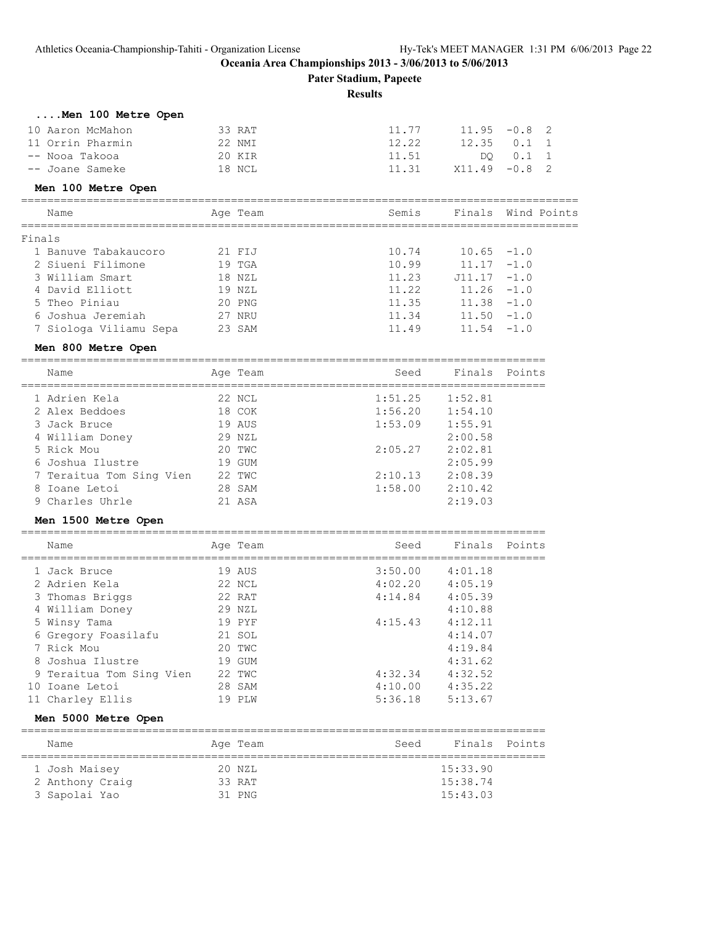**Pater Stadium, Papeete**

#### **Results**

| Men 100 Metre Open |        |       |                 |          |  |
|--------------------|--------|-------|-----------------|----------|--|
| 10 Aaron McMahon   | 33 RAT | 11.77 | $11.95 - 0.8$ 2 |          |  |
| 11 Orrin Pharmin   | 22 NMT | 12.22 | $12.35$ 0.1 1   |          |  |
| -- Nooa Takooa     | 20 KIR | 11.51 |                 | DO 0.1 1 |  |
| -- Joane Sameke    | 18 NCL | 11.31 | $X11.49 - 0.82$ |          |  |
| Men 100 Metre Open |        |       |                 |          |  |

|        | Name                   | Age Team | Semis |               | Finals Wind Points |
|--------|------------------------|----------|-------|---------------|--------------------|
| Finals |                        |          |       |               |                    |
|        | 1 Banuve Tabakaucoro   | 21 FIJ   | 10.74 | $10.65 - 1.0$ |                    |
|        | 2 Siueni Filimone      | $19$ TGA | 10.99 | $11.17 - 1.0$ |                    |
|        | 3 William Smart        | 18 NZL   | 11.23 | $J11.17 -1.0$ |                    |
|        | 4 David Elliott        | 19 NZL   | 11.22 | $11.26 - 1.0$ |                    |
|        | 5 Theo Piniau          | 20 PNG   | 11.35 | $11.38 - 1.0$ |                    |
|        | 6 Joshua Jeremiah      | 27 NRU   | 11.34 | $11.50 - 1.0$ |                    |
|        | 7 Siologa Viliamu Sepa | 23 SAM   | 11.49 | $11.54 - 1.0$ |                    |

#### **Men 800 Metre Open**

================================================================================ Name Mage Team Age Team Seed Finals Points

| ------                   | $1140 - 10611$ | ---     |         |  |
|--------------------------|----------------|---------|---------|--|
| 1 Adrien Kela            | 22 NCL         | 1:51.25 | 1:52.81 |  |
| 2 Alex Beddoes           | 18 COK         | 1:56.20 | 1:54.10 |  |
| 3 Jack Bruce             | 19 AUS         | 1:53.09 | 1:55.91 |  |
| 4 William Doney          | 29 NZL         |         | 2:00.58 |  |
| 5 Rick Mou               | 20 TWC         | 2:05.27 | 2:02.81 |  |
| 6 Joshua Ilustre         | 19 GUM         |         | 2:05.99 |  |
| 7 Teraitua Tom Sing Vien | 22 TWC         | 2:10.13 | 2:08.39 |  |
| 8 Ioane Letoi            | 28 SAM         | 1:58.00 | 2:10.42 |  |
| 9 Charles Uhrle          | 21 ASA         |         | 2:19.03 |  |
|                          |                |         |         |  |

#### **Men 1500 Metre Open**

|     | Name                     | Age Team | Seed    | Finals Points |  |
|-----|--------------------------|----------|---------|---------------|--|
|     | 1 Jack Bruce             | 19 AUS   | 3:50.00 | 4:01.18       |  |
|     | 2 Adrien Kela            | 22 NCL   | 4:02.20 | 4:05.19       |  |
|     | 3 Thomas Briggs          | 22 RAT   | 4:14.84 | 4:05.39       |  |
|     | 4 William Doney          | 29 NZL   |         | 4:10.88       |  |
|     | 5 Winsy Tama             | 19 PYF   | 4:15.43 | 4:12.11       |  |
|     | 6 Gregory Foasilafu      | 21 SOL   |         | 4:14.07       |  |
|     | 7 Rick Mou               | 20 TWC   |         | 4:19.84       |  |
| 8   | Joshua Ilustre           | 19 GUM   |         | 4:31.62       |  |
|     | 9 Teraitua Tom Sing Vien | 22 TWC   | 4:32.34 | 4:32.52       |  |
| 1 O | Ioane Letoi              | 28 SAM   | 4:10.00 | 4:35.22       |  |
|     | 11 Charley Ellis         | 19 PLW   | 5:36.18 | 5:13.67       |  |

#### **Men 5000 Metre Open**

| Name            | Age Team | Seed | Finals Points |  |
|-----------------|----------|------|---------------|--|
| 1 Josh Maisey   | 20 NZL   |      | 15:33.90      |  |
| 2 Anthony Craig | 33 RAT   |      | 15:38.74      |  |
| 3 Sapolai Yao   | 31 PNG   |      | 15:43.03      |  |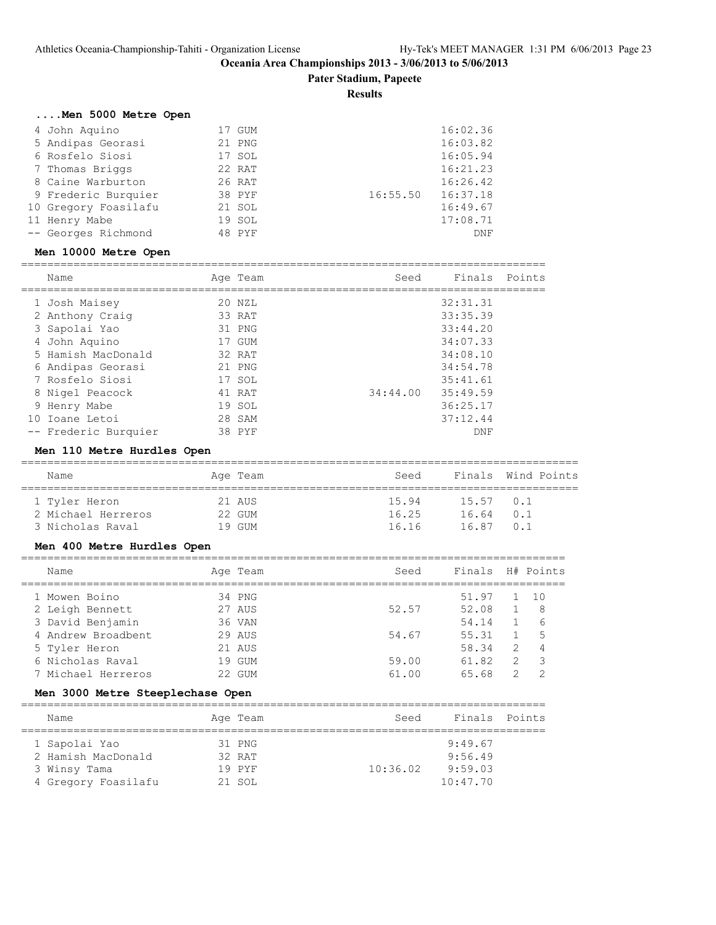**Pater Stadium, Papeete**

#### **Results**

# **....Men 5000 Metre Open**

| 4 John Aquino        | 17 GUM |          | 16:02.36 |
|----------------------|--------|----------|----------|
| 5 Andipas Georasi    | 21 PNG |          | 16:03.82 |
| 6 Rosfelo Siosi      | 17 SOL |          | 16:05.94 |
| 7 Thomas Briggs      | 22 RAT |          | 16:21.23 |
| 8 Caine Warburton    | 26 RAT |          | 16:26.42 |
| 9 Frederic Burquier  | 38 PYF | 16:55.50 | 16:37.18 |
| 10 Gregory Foasilafu | 21 SOL |          | 16:49.67 |
| 11 Henry Mabe        | 19 SOL |          | 17:08.71 |
| -- Georges Richmond  | 48 PYF |          | DNF      |

#### **Men 10000 Metre Open**

| Name                 | Age Team | Seed     | Finals   | Points |
|----------------------|----------|----------|----------|--------|
|                      |          |          |          |        |
| 1 Josh Maisey        | 20 NZL   |          | 32:31.31 |        |
| 2 Anthony Craig      | 33 RAT   |          | 33:35.39 |        |
| 3 Sapolai Yao        | 31 PNG   |          | 33:44.20 |        |
| 4 John Aquino        | 17 GUM   |          | 34:07.33 |        |
| 5 Hamish MacDonald   | 32 RAT   |          | 34:08.10 |        |
| 6 Andipas Georasi    | 21 PNG   |          | 34:54.78 |        |
| 7 Rosfelo Siosi      | 17 SOL   |          | 35:41.61 |        |
| 8 Nigel Peacock      | 41 RAT   | 34:44.00 | 35:49.59 |        |
| 9 Henry Mabe         | 19 SOL   |          | 36:25.17 |        |
| 10 Ioane Letoi       | 28 SAM   |          | 37:12.44 |        |
| -- Frederic Burquier | 38 PYF   |          | DNF      |        |

#### **Men 110 Metre Hurdles Open**

| Name               | Age Team | Seed  |             | Finals Wind Points |
|--------------------|----------|-------|-------------|--------------------|
|                    |          |       |             |                    |
| 1 Tyler Heron      | 21 AUS   | 15.94 | $15.57$ 0.1 |                    |
| 2 Michael Herreros | 22 GUM   | 16.25 | 1664        | 0.1                |
| 3 Nicholas Raval   | 19 gum   | 16.16 | 1687        | n 1                |

# **Men 400 Metre Hurdles Open**

| Name               | Age Team | Seed  | Finals |               | H# Points     |
|--------------------|----------|-------|--------|---------------|---------------|
| 1 Mowen Boino      | 34 PNG   |       | 51.97  |               | 1 10          |
| 2 Leigh Bennett    | 27 AUS   | 52.57 | 52.08  |               | -8            |
| 3 David Benjamin   | 36 VAN   |       | 54.14  |               | 6             |
| 4 Andrew Broadbent | 29 AUS   | 54.67 | 55.31  |               | 5             |
| 5 Tyler Heron      | 21 AUS   |       | 58.34  | $\mathcal{L}$ | 4             |
| 6 Nicholas Raval   | 19 GUM   | 59.00 | 61.82  | $\mathcal{L}$ | -3            |
| 7 Michael Herreros | 22 GUM   | 61.00 | 65.68  | 2             | $\mathcal{P}$ |
|                    |          |       |        |               |               |

# **Men 3000 Metre Steeplechase Open**

| Name                |  | Age Team | Seed     | Finals Points |  |  |  |
|---------------------|--|----------|----------|---------------|--|--|--|
|                     |  |          |          |               |  |  |  |
| 1 Sapolai Yao       |  | 31 PNG   |          | 9:49.67       |  |  |  |
| 2 Hamish MacDonald  |  | 32 RAT   |          | 9:56.49       |  |  |  |
| 3 Winsy Tama        |  | 19 PYF   | 10:36.02 | 9:59.03       |  |  |  |
| 4 Gregory Foasilafu |  | 21 SOL   |          | 10:47.70      |  |  |  |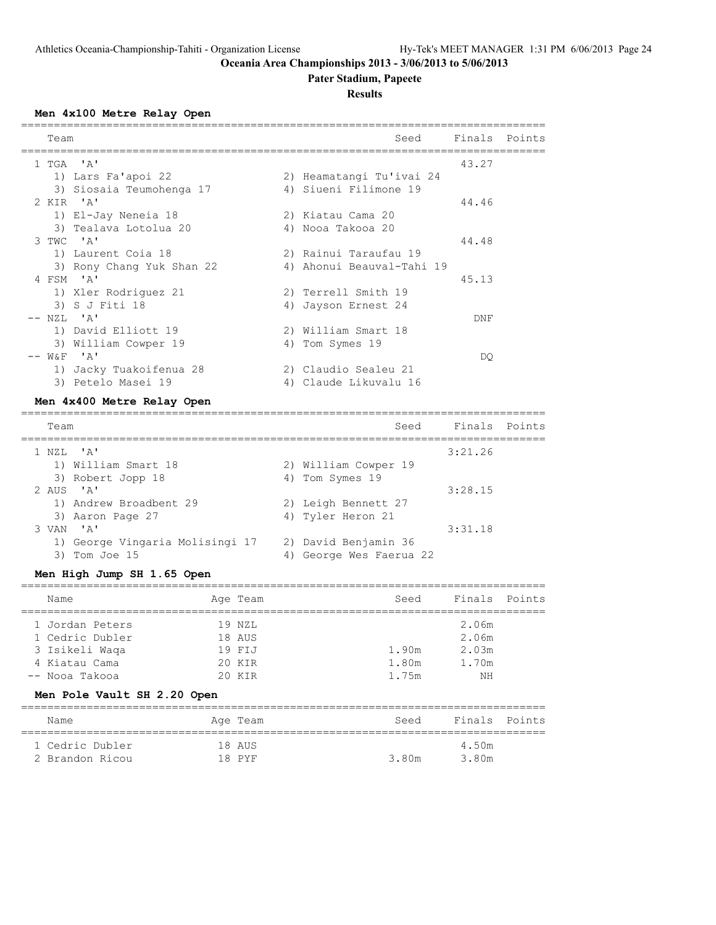# **Pater Stadium, Papeete**

**Results**

#### **Men 4x100 Metre Relay Open**

| Team |                           | Seed                      | Finals Points |  |
|------|---------------------------|---------------------------|---------------|--|
|      | 1 TGA 'A'                 |                           | 43.27         |  |
|      | 1) Lars Fa'apoi 22        | 2) Heamatangi Tu'ivai 24  |               |  |
|      | 3) Siosaia Teumohenga 17  | 4) Siueni Filimone 19     |               |  |
|      | 2 KIR 'A'                 |                           | 44.46         |  |
|      | 1) El-Jay Neneia 18       | 2) Kiatau Cama 20         |               |  |
|      | 3) Tealava Lotolua 20     | 4) Nooa Takooa 20         |               |  |
|      | 3 TWC 'A'                 |                           | 44.48         |  |
|      | 1) Laurent Coia 18        | 2) Rainui Taraufau 19     |               |  |
|      | 3) Rony Chang Yuk Shan 22 | 4) Ahonui Beauval-Tahi 19 |               |  |
|      | 4 FSM 'A'                 |                           | 45.13         |  |
|      | 1) Xler Rodriquez 21      | 2) Terrell Smith 19       |               |  |
|      | 3) S J Fiti 18            | 4) Jayson Ernest 24       |               |  |
|      | -- NZL 'A'                |                           | DNF           |  |
|      | 1) David Elliott 19       | 2) William Smart 18       |               |  |
|      | 3) William Cowper 19      | 4) Tom Symes 19           |               |  |
|      | $--$ W&F $'A'$            |                           | DO            |  |
|      | 1) Jacky Tuakoifenua 28   | 2) Claudio Sealeu 21      |               |  |
|      | 3) Petelo Masei 19        | 4) Claude Likuvalu 16     |               |  |

#### **Men 4x400 Metre Relay Open**

| Team                                                |    | Seed                                         | Finals Points |  |
|-----------------------------------------------------|----|----------------------------------------------|---------------|--|
| $1$ NZL $'A'$                                       |    |                                              | 3:21.26       |  |
| 1) William Smart 18                                 |    | 2) William Cowper 19                         |               |  |
| 3) Robert Jopp 18                                   |    | 4) Tom Symes 19                              |               |  |
| 2 AUS $'A'$                                         |    |                                              | 3:28.15       |  |
| 1) Andrew Broadbent 29                              |    | 2) Leigh Bennett 27                          |               |  |
| 3) Aaron Page 27                                    |    | 4) Tyler Heron 21                            |               |  |
| $\mathsf{I} \wedge \mathsf{I}$<br>3 VAN             |    |                                              | 3:31.18       |  |
| 1) George Vingaria Molisingi 17<br>Tom Joe 15<br>3) | 4) | 2) David Benjamin 36<br>George Wes Faerua 22 |               |  |
|                                                     |    |                                              |               |  |

### **Men High Jump SH 1.65 Open**

| Name            |  | Age Team | Seed  | Finals Points |  |  |  |  |
|-----------------|--|----------|-------|---------------|--|--|--|--|
|                 |  |          |       |               |  |  |  |  |
| 1 Jordan Peters |  | 19 NZL   |       | 2.06m         |  |  |  |  |
| 1 Cedric Dubler |  | 18 AUS   |       | 2.06m         |  |  |  |  |
| 3 Isikeli Waqa  |  | 19 FIJ   | 1.90m | 2.03m         |  |  |  |  |
| 4 Kiatau Cama   |  | 20 KTR   | 1.80m | 1.70m         |  |  |  |  |
| -- Nooa Takooa  |  | 20 KTR   | 1.75m | NΗ            |  |  |  |  |

# **Men Pole Vault SH 2.20 Open**

| Name            | Age Team | Seed  | Finals Points |  |
|-----------------|----------|-------|---------------|--|
| 1 Cedric Dubler | 18 AUS   |       | 4.50m         |  |
| 2 Brandon Ricou | 18 PYF   | 3.80m | 3.80m         |  |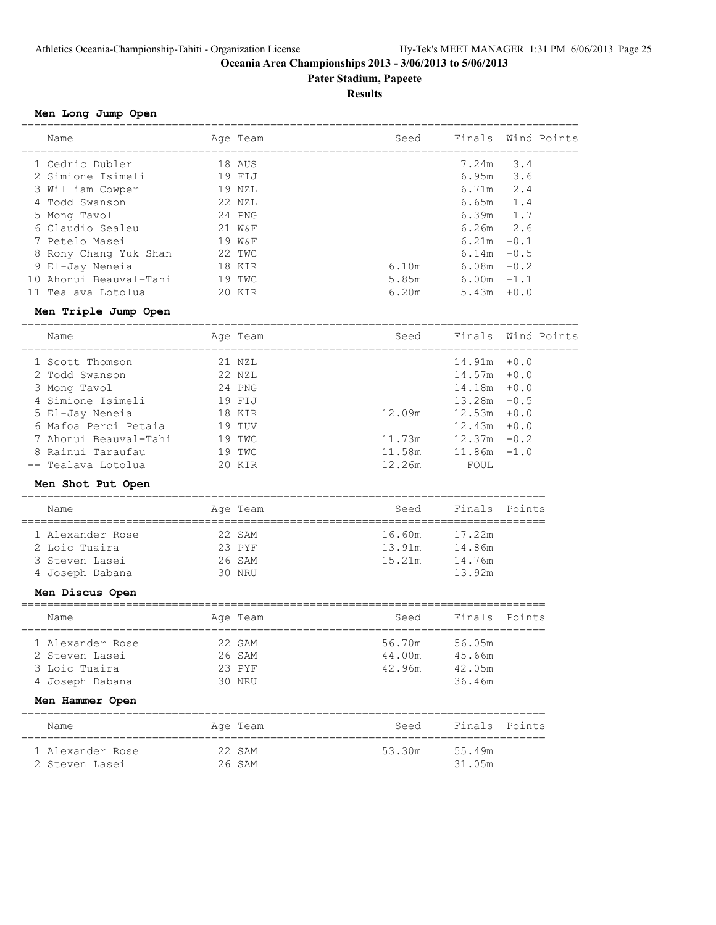**Pater Stadium, Papeete**

#### **Results**

#### **Men Long Jump Open**

| Name                   | Age Team | Seed  | Finals Wind Points |        |  |
|------------------------|----------|-------|--------------------|--------|--|
| 1 Cedric Dubler        | 18 AUS   |       | 7.24m              | 3.4    |  |
| 2 Simione Isimeli      | 19 FIJ   |       | 6.95m              | 3.6    |  |
| 3 William Cowper       | 19 NZL   |       | 6.71m              | 2.4    |  |
| 4 Todd Swanson         | 22 NZL   |       | 6.65m              | 1.4    |  |
| 5 Mong Tavol           | 24 PNG   |       | 6.39m              | 1.7    |  |
| 6 Claudio Sealeu       | 21 W&F   |       | $6.26m$ 2.6        |        |  |
| 7 Petelo Masei         | 19 W&F   |       | 6.21m              | $-0.1$ |  |
| 8 Rony Chang Yuk Shan  | 22 TWC   |       | 6.14m              | $-0.5$ |  |
| 9 El-Jay Neneia        | 18 KIR   | 6.10m | 6.08m              | $-0.2$ |  |
| 10 Ahonui Beauval-Tahi | 19 TWC   | 5.85m | 6.00m              | $-1.1$ |  |
| 11 Tealava Lotolua     | 20 KIR   | 6.20m | 5.43m              | $+0.0$ |  |

#### **Men Triple Jump Open**

===================================================================================== Name Age Team Seed Finals Wind Points

| Name                  | Aqe leam | seea   |                | Finais – Wind Points |
|-----------------------|----------|--------|----------------|----------------------|
| 1 Scott Thomson       | 21 NZL   |        | $14.91m + 0.0$ |                      |
| 2 Todd Swanson        | 22 NZL   |        | $14.57m + 0.0$ |                      |
| 3 Mong Tavol          | 24 PNG   |        | $14.18m + 0.0$ |                      |
| 4 Simione Isimeli     | 19 FIJ   |        | $13.28m - 0.5$ |                      |
| 5 El-Jay Neneia       | 18 KIR   | 12.09m | $12.53m + 0.0$ |                      |
| 6 Mafoa Perci Petaia  | 19 TUV   |        | $12.43m + 0.0$ |                      |
| 7 Ahonui Beauval-Tahi | 19 TWC   | 11.73m | $12.37m - 0.2$ |                      |
| 8 Rainui Taraufau     | 19 TWC   | 11.58m | $11.86m - 1.0$ |                      |
| -- Tealava Lotolua    | 20 KIR   | 12.26m | FOUL           |                      |

#### **Men Shot Put Open**

| Name             | Age Team | Seed   | Finals Points |  |  |  |  |  |
|------------------|----------|--------|---------------|--|--|--|--|--|
| 1 Alexander Rose | 22 SAM   | 16.60m | 17 22m        |  |  |  |  |  |
| 2 Loic Tuaira    | $23$ PYF | 13.91m | 14.86m        |  |  |  |  |  |

 3 Steven Lasei 26 SAM 15.21m 14.76m 4 Joseph Dabana 30 NRU 13.92m

# **Men Discus Open**

| Name             |  | Age Team | Seed   | Finals Points |  |  |  |
|------------------|--|----------|--------|---------------|--|--|--|
|                  |  |          |        |               |  |  |  |
| 1 Alexander Rose |  | 22 SAM   | 56.70m | 56.05m        |  |  |  |
| 2 Steven Lasei   |  | 26 SAM   | 44.00m | 45.66m        |  |  |  |
| 3 Loic Tuaira    |  | $23$ PYF | 42.96m | 42.05m        |  |  |  |
| 4 Joseph Dabana  |  | 30 NRIJ  |        | 36.46m        |  |  |  |

#### **Men Hammer Open**

| Name             | Age Team | Seed   | Finals Points |  |
|------------------|----------|--------|---------------|--|
| 1 Alexander Rose | 22 SAM   | 53.30m | 55.49m        |  |
| 2 Steven Lasei   | 26 SAM   |        | 31.05m        |  |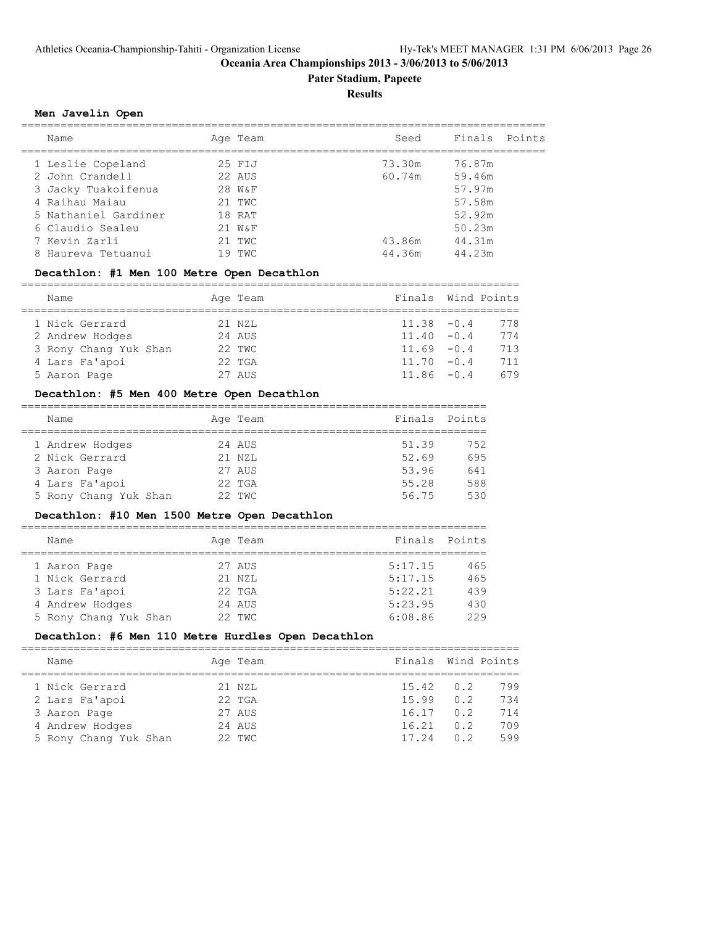# **Pater Stadium, Papeete**

**Results**

#### **Men Javelin Open**

| Name                 | Age Team | Seed   | Finals Points |  |
|----------------------|----------|--------|---------------|--|
| 1 Leslie Copeland    | 25 FIJ   | 73.30m | 76.87m        |  |
| 2 John Crandell      | 22 AUS   | 60.74m | 59.46m        |  |
| 3 Jacky Tuakoifenua  | $28$ W&F |        | 57.97m        |  |
| 4 Raihau Maiau       | $21$ TWC |        | 57.58m        |  |
| 5 Nathaniel Gardiner | 18 RAT   |        | 52.92m        |  |
| 6 Claudio Sealeu     | $21$ W&F |        | 50.23m        |  |
| 7 Kevin Zarli        | $21$ TWC | 43.86m | 44.31m        |  |
| 8 Haureva Tetuanui   | 19 TWC   | 44.36m | 44.23m        |  |
|                      |          |        |               |  |

#### **Decathlon: #1 Men 100 Metre Open Decathlon**

============================================================================

| Name                  | Age Team | Finals Wind Points |     |
|-----------------------|----------|--------------------|-----|
| 1 Nick Gerrard        | 21 NZL   | $11.38 - 0.4$      | 778 |
| 2 Andrew Hodges       | 24 AUS   | $11.40 - 0.4$      | 774 |
| 3 Rony Chang Yuk Shan | 22 TWC   | $11.69 - 0.4$      | 713 |
| 4 Lars Fa'apoi        | $22$ TGA | $11.70 - 0.4$      | 711 |
| 5 Aaron Page          | 27 AUS   | $11.86 - 0.4$      | 679 |

#### **Decathlon: #5 Men 400 Metre Open Decathlon**

| Name                  | Age Team | Finals Points |     |
|-----------------------|----------|---------------|-----|
| 1 Andrew Hodges       | 24 AUS   | 51.39         | 752 |
| 2 Nick Gerrard        | 21 NZL   | 52.69         | 695 |
| 3 Aaron Page          | 27 AUS   | 53.96         | 641 |
| 4 Lars Fa'apoi        | $22$ TGA | 55.28         | 588 |
| 5 Rony Chang Yuk Shan | 22 TWC   | 56.75         | 530 |
|                       |          |               |     |

# **Decathlon: #10 Men 1500 Metre Open Decathlon**

| Name                  |  | Age Team | Finals Points |     |  |  |
|-----------------------|--|----------|---------------|-----|--|--|
|                       |  |          |               |     |  |  |
| 1 Aaron Page          |  | 27 AUS   | 5:17.15       | 465 |  |  |
| 1 Nick Gerrard        |  | 21 NZL   | 5:17.15       | 465 |  |  |
| 3 Lars Fa'apoi        |  | $22$ TGA | 5:22.21       | 439 |  |  |
| 4 Andrew Hodges       |  | 24 AUS   | 5:23.95       | 430 |  |  |
| 5 Rony Chang Yuk Shan |  | 22 TWC   | 6:08.86       | 229 |  |  |

# **Decathlon: #6 Men 110 Metre Hurdles Open Decathlon**

| Name                  | Age Team | Finals Wind Points |                |     |
|-----------------------|----------|--------------------|----------------|-----|
| 1 Nick Gerrard        | 21 NZL   | 15.42              | 0.2            | 799 |
| 2 Lars Fa'apoi        | $22$ TGA | 15.99              | 0.2            | 734 |
| 3 Aaron Page          | 27 AUS   | 16.17              | 0.2            | 714 |
| 4 Andrew Hodges       | 24 AUS   | 16.21              | 0.2            | 709 |
| 5 Rony Chang Yuk Shan | 22 TWC   | 17.24              | 0 <sub>2</sub> | 599 |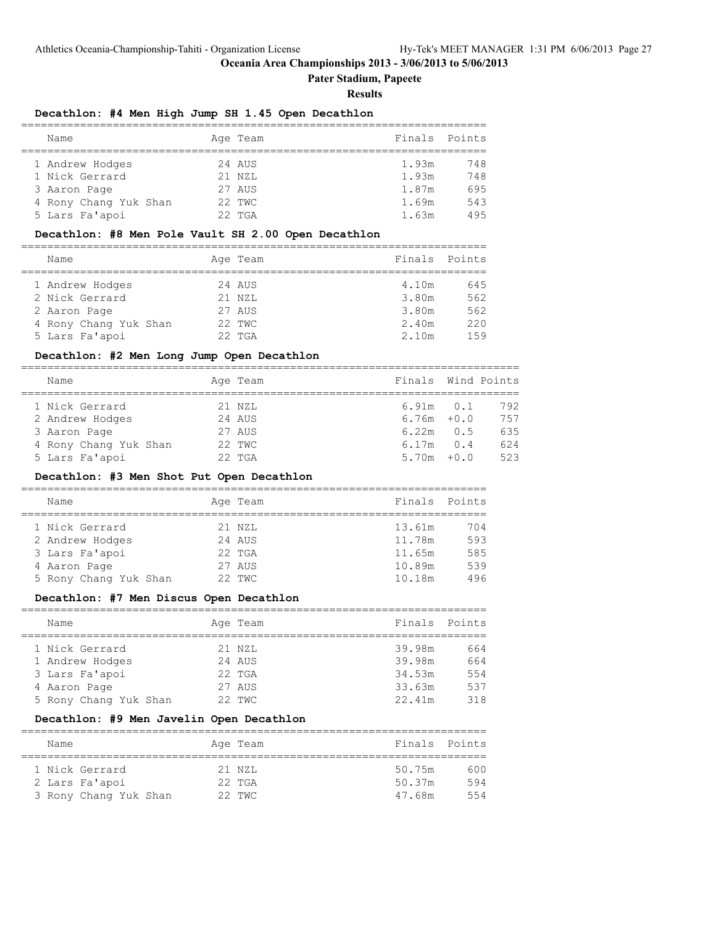**Pater Stadium, Papeete**

#### **Results**

### **Decathlon: #4 Men High Jump SH 1.45 Open Decathlon**

| Name                  |  | Age Team | Finals Points |     |  |  |
|-----------------------|--|----------|---------------|-----|--|--|
|                       |  |          |               |     |  |  |
| 1 Andrew Hodges       |  | 24 AUS   | 1.93m         | 748 |  |  |
| 1 Nick Gerrard        |  | $21$ NZL | 1.93m         | 748 |  |  |
| 3 Aaron Page          |  | 27 AUS   | 1.87m         | 695 |  |  |
| 4 Rony Chang Yuk Shan |  | 22 TWC   | 1.69m         | 543 |  |  |
| 5 Lars Fa'apoi        |  | $22$ TGA | 1.63m         | 495 |  |  |

#### **Decathlon: #8 Men Pole Vault SH 2.00 Open Decathlon**

| Name                  | Age Team | Finals | Points |
|-----------------------|----------|--------|--------|
|                       |          |        |        |
| 1 Andrew Hodges       | 24 AUS   | 4.10m  | 645    |
| 2 Nick Gerrard        | $21$ NZL | 3.80m  | 562    |
| 2 Aaron Page          | 27 AUS   | 3.80m  | 562    |
| 4 Rony Chang Yuk Shan | 22 TWC   | 2.40m  | 220    |
| 5 Lars Fa'apoi        | $22$ TGA | 2.10m  | 159    |

#### **Decathlon: #2 Men Long Jump Open Decathlon**

| Name                  | Age Team | Finals Wind Points |              |     |
|-----------------------|----------|--------------------|--------------|-----|
|                       |          |                    |              |     |
| 1 Nick Gerrard        | 21 NZL   | $6.91m$ $0.1$      |              | 792 |
| 2 Andrew Hodges       | 24 AUS   | $6.76m + 0.0$      |              | 757 |
| 3 Aaron Page          | 27 AUS   | 6.22m              | 0.5          | 635 |
| 4 Rony Chang Yuk Shan | 22 TWC   | 6.17m              | $\bigcirc$ 4 | 624 |
| 5 Lars Fa'apoi        | $22$ TGA | $5.70m + 0.0$      |              | 523 |

### **Decathlon: #3 Men Shot Put Open Decathlon**

| Name                  |  | Age Team | Finals Points |     |  |  |  |  |  |
|-----------------------|--|----------|---------------|-----|--|--|--|--|--|
|                       |  |          |               |     |  |  |  |  |  |
| 1 Nick Gerrard        |  | 21 NZL   | 13.61m        | 704 |  |  |  |  |  |
| 2 Andrew Hodges       |  | 24 AUS   | 11.78m        | 593 |  |  |  |  |  |
| 3 Lars Fa'apoi        |  | $22$ TGA | 11.65m        | 585 |  |  |  |  |  |
| 4 Aaron Page          |  | 27 AUS   | 10.89m        | 539 |  |  |  |  |  |
| 5 Rony Chang Yuk Shan |  | 22 TWC   | 10.18m        | 496 |  |  |  |  |  |

# **Decathlon: #7 Men Discus Open Decathlon**

| Name                  | Age Team | Finals | Points |
|-----------------------|----------|--------|--------|
|                       |          |        |        |
| 1 Nick Gerrard        | 21 NZL   | 39.98m | 664    |
| 1 Andrew Hodges       | 24 AUS   | 39.98m | 664    |
|                       |          |        |        |
| 3 Lars Fa'apoi        | $22$ TGA | 34.53m | 554    |
| 4 Aaron Page          | 27 AUS   | 33.63m | 537    |
| 5 Rony Chang Yuk Shan | 22 TWC   | 22.41m | 318    |

# **Decathlon: #9 Men Javelin Open Decathlon**

| Name                  | Age Team | Finals Points |     |
|-----------------------|----------|---------------|-----|
| 1 Nick Gerrard        | 21 NZL   | 50.75m        | 600 |
| 2 Lars Fa'apoi        | $22$ TGA | 50.37m        | 594 |
| 3 Rony Chang Yuk Shan | 22 TWC   | 47.68m        | 554 |

=======================================================================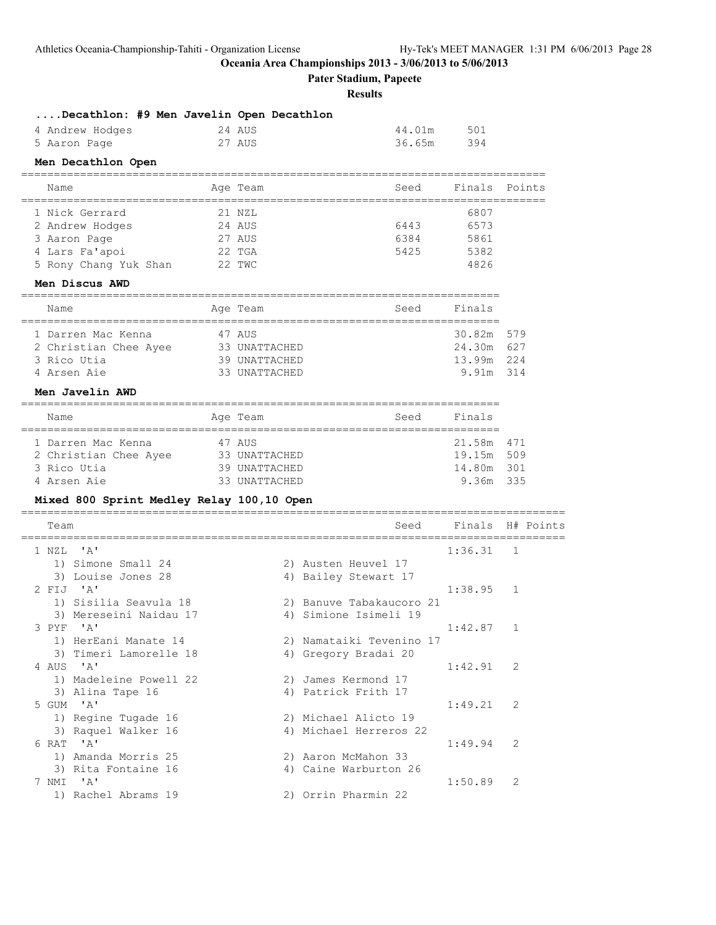**Pater Stadium, Papeete**

**Results**

| Decathlon: #9 Men Javelin Open Decathlon     |               |                                              |        |              |           |
|----------------------------------------------|---------------|----------------------------------------------|--------|--------------|-----------|
| 4 Andrew Hodges                              | 24 AUS        |                                              | 44.01m | 501          |           |
| 5 Aaron Page                                 | 27 AUS        |                                              | 36.65m | 394          |           |
| Men Decathlon Open                           |               |                                              |        |              |           |
| Name<br>____________________________________ | Age Team      |                                              | Seed   | Finals       | Points    |
| 1 Nick Gerrard                               | 21 NZL        |                                              |        | 6807         |           |
| 2 Andrew Hodges                              | 24 AUS        |                                              | 6443   | 6573         |           |
| 3 Aaron Page                                 | 27 AUS        |                                              | 6384   | 5861         |           |
| 4 Lars Fa'apoi                               | 22 TGA        |                                              | 5425   | 5382<br>4826 |           |
| 5 Rony Chang Yuk Shan 22 TWC                 |               |                                              |        |              |           |
| Men Discus AWD                               |               |                                              |        |              |           |
| Name<br>----------------------               | Age Team      | ==============================               | Seed   | Finals       |           |
| 1 Darren Mac Kenna                           | 47 AUS        |                                              |        | 30.82m 579   |           |
| 2 Christian Chee Ayee                        | 33 UNATTACHED |                                              |        | 24.30m 627   |           |
| 3 Rico Utia                                  | 39 UNATTACHED |                                              |        | 13.99m 224   |           |
| 4 Arsen Aie                                  | 33 UNATTACHED |                                              |        | 9.91m 314    |           |
| Men Javelin AWD                              |               |                                              |        |              |           |
| Name                                         | Age Team      |                                              | Seed   | Finals       |           |
| 1 Darren Mac Kenna                           | 47 AUS        |                                              |        | 21.58m       | 471       |
| 2 Christian Chee Ayee                        | 33 UNATTACHED |                                              |        | 19.15m 509   |           |
| 3 Rico Utia<br>4 Arsen Aie                   | 39 UNATTACHED |                                              |        | 14.80m 301   |           |
|                                              | 33 UNATTACHED |                                              |        | 9.36m 335    |           |
| Mixed 800 Sprint Medley Relay 100,10 Open    |               |                                              |        |              |           |
| Team                                         |               |                                              | Seed   | Finals       | H# Points |
| $^{\prime}$ A $^{\prime}$<br>1 NZL           |               |                                              |        | 1:36.31      | 1         |
| 1) Simone Small 24                           |               | 2) Austen Heuvel 17                          |        |              |           |
| 3) Louise Jones 28<br>2 FIJ 'A'              |               | 4) Bailey Stewart 17                         |        |              |           |
| 1) Sisilia Seavula 18                        |               | 2) Banuve Tabakaucoro 21                     |        | 1:38.95      | 1         |
| 3) Mereseini Naidau 17                       |               | 4) Simione Isimeli 19                        |        |              |           |
| 3 PYF<br><b>A'</b>                           |               |                                              |        | 1:42.87      | 1         |
| 1) HerEani Manate 14                         |               | 2) Namataiki Tevenino 17                     |        |              |           |
| 3) Timeri Lamorelle 18                       |               | 4) Gregory Bradai 20                         |        |              |           |
| 4 AUS 'A'                                    |               |                                              |        | 1:42.91      | 2         |
| 1) Madeleine Powell 22<br>3) Alina Tape 16   |               | 2) James Kermond 17<br>4) Patrick Frith 17   |        |              |           |
| 5 GUM 'A'                                    |               |                                              |        | 1:49.21      | 2         |
| 1) Regine Tugade 16                          |               | 2) Michael Alicto 19                         |        |              |           |
| 3) Raquel Walker 16                          |               | 4) Michael Herreros 22                       |        |              |           |
| 6 RAT 'A'                                    |               |                                              |        | 1:49.94      | 2         |
| 1) Amanda Morris 25<br>3) Rita Fontaine 16   |               | 2) Aaron McMahon 33<br>4) Caine Warburton 26 |        |              |           |
| 7 NMI 'A'                                    |               |                                              |        | 1:50.89      | 2         |
| 1) Rachel Abrams 19                          |               | 2) Orrin Pharmin 22                          |        |              |           |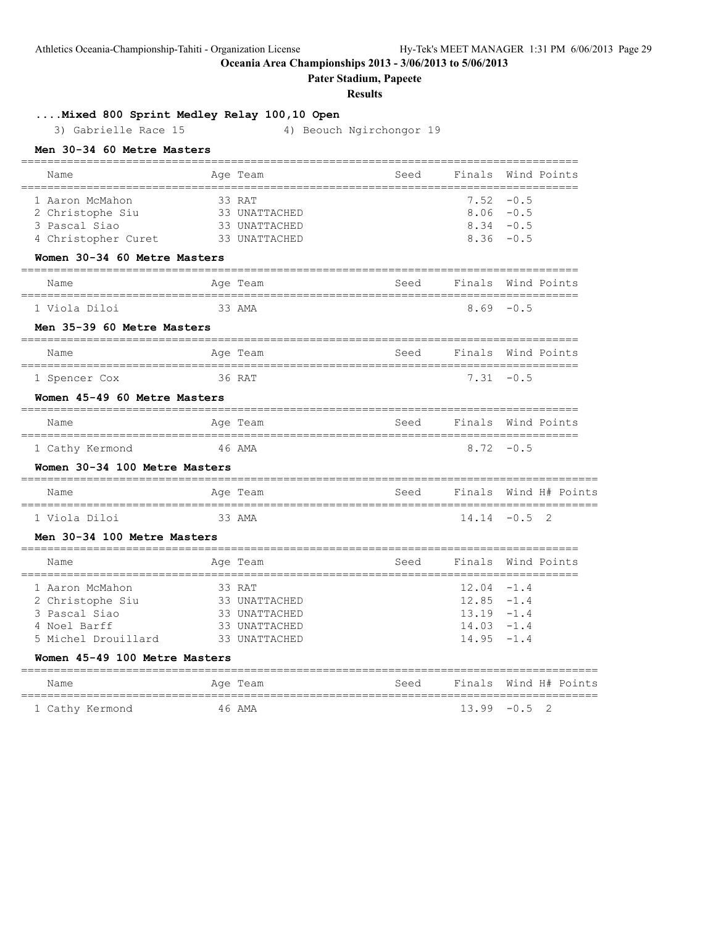Athletics Oceania-Championship-Tahiti - Organization License Hy-Tek's MEET MANAGER 1:31 PM 6/06/2013 Page 29

**Oceania Area Championships 2013 - 3/06/2013 to 5/06/2013**

**Pater Stadium, Papeete**

# **Results**

**....Mixed 800 Sprint Medley Relay 100,10 Open**

3) Gabrielle Race 15 4) Beouch Ngirchongor 19

| Name                                                 |                     | Age Team                  | Seed                                 | Finals             |              | Wind Points    |
|------------------------------------------------------|---------------------|---------------------------|--------------------------------------|--------------------|--------------|----------------|
| 1 Aaron McMahon                                      |                     | 33 RAT                    |                                      |                    | $7.52 - 0.5$ |                |
| 2 Christophe Siu                                     |                     | 33 UNATTACHED             |                                      |                    | $8.06 - 0.5$ |                |
| 3 Pascal Siao                                        |                     | 33 UNATTACHED             |                                      |                    | $8.34 - 0.5$ |                |
| 4 Christopher Curet                                  |                     | 33 UNATTACHED             |                                      |                    | $8.36 - 0.5$ |                |
| Women 30-34 60 Metre Masters                         |                     |                           |                                      |                    |              |                |
| Name                                                 |                     | Age Team                  | Seed                                 | Finals Wind Points | ======       |                |
| 1 Viola Diloi                                        |                     | 33 AMA                    |                                      |                    | $8.69 - 0.5$ |                |
| Men 35-39 60 Metre Masters                           |                     |                           |                                      |                    |              |                |
| Name                                                 |                     | Age Team                  | Seed                                 | Finals Wind Points |              |                |
| 1 Spencer Cox                                        |                     | 36 RAT                    |                                      |                    | $7.31 - 0.5$ |                |
| Women 45-49 60 Metre Masters                         |                     |                           |                                      |                    |              |                |
| Name                                                 |                     | Age Team                  | Seed                                 | Finals Wind Points |              |                |
| 1 Cathy Kermond                                      |                     | 46 AMA                    |                                      |                    | $8.72 - 0.5$ |                |
| Women 30-34 100 Metre Masters                        |                     |                           |                                      |                    |              |                |
| Name<br>================                             |                     | Age Team<br>============= | Seed<br>============================ | Finals             |              | Wind H# Points |
| 1 Viola Diloi                                        |                     | 33 AMA                    |                                      | 14.14              | $-0.5$       | $\mathfrak{D}$ |
| Men 30-34 100 Metre Masters                          |                     |                           |                                      |                    |              |                |
| Name<br>================================             |                     | Age Team                  | Seed                                 | Finals<br>-------- |              | Wind Points    |
| 1 Aaron McMahon                                      |                     | 33 RAT                    |                                      | $12.04 -1.4$       |              |                |
| 2 Christophe Siu                                     |                     | 33 UNATTACHED             |                                      | $12.85 - 1.4$      |              |                |
| 3 Pascal Siao                                        |                     | 33 UNATTACHED             |                                      | $13.19 - 1.4$      |              |                |
| 4 Noel Barff                                         |                     | 33 UNATTACHED             |                                      | $14.03 - 1.4$      |              |                |
| 5 Michel Drouillard                                  |                     | 33 UNATTACHED             |                                      | 14.95              | $-1.4$       |                |
| Women 45-49 100 Metre Masters<br>=================== | =================== |                           |                                      |                    |              |                |
| Name                                                 |                     | Age Team                  | Seed                                 | Finals             |              | Wind H# Points |
| 1 Cathy Kermond                                      |                     | 46 AMA                    |                                      | 13.99              | $-0.5$       | $\overline{2}$ |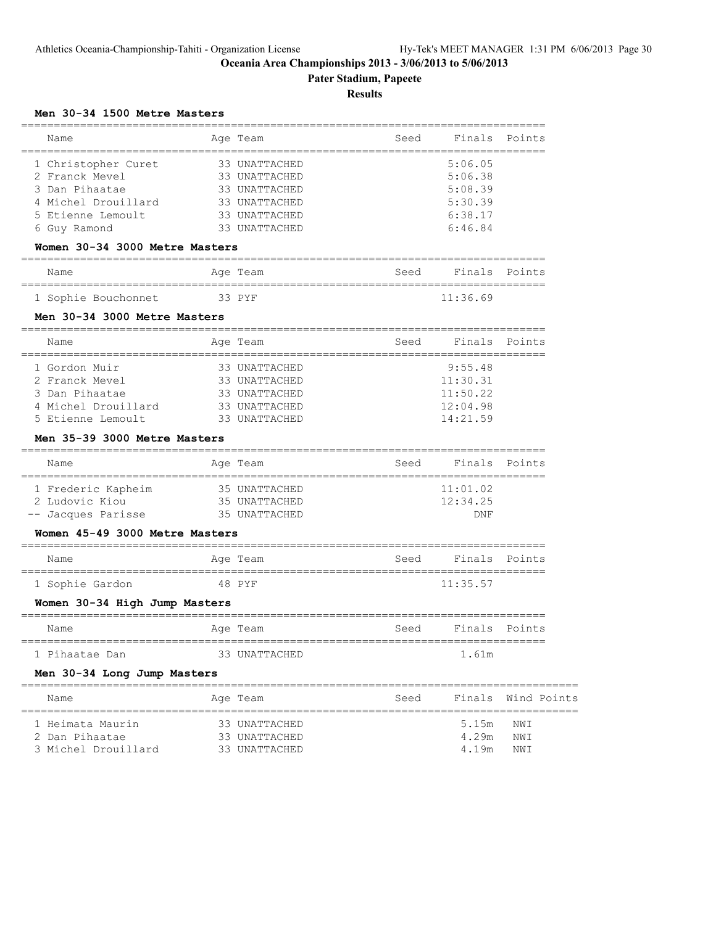**Pater Stadium, Papeete**

# **Results**

# **Men 30-34 1500 Metre Masters**

| Name                                  | Age Team                                 | Seed | Finals             | Points             |
|---------------------------------------|------------------------------------------|------|--------------------|--------------------|
|                                       |                                          |      |                    |                    |
| 1 Christopher Curet<br>2 Franck Mevel | 33 UNATTACHED<br>33 UNATTACHED           |      | 5:06.05<br>5:06.38 |                    |
| 3 Dan Pihaatae                        | 33 UNATTACHED                            |      | 5:08.39            |                    |
| 4 Michel Drouillard                   | 33 UNATTACHED                            |      | 5:30.39            |                    |
| Etienne Lemoult                       | 33 UNATTACHED                            |      | 6:38.17            |                    |
| 6 Guy Ramond                          | 33 UNATTACHED                            |      | 6:46.84            |                    |
| Women 30-34 3000 Metre Masters        |                                          |      |                    |                    |
| Name                                  | Age Team                                 | Seed | Finals             | Points             |
| 1 Sophie Bouchonnet                   | 33 PYF                                   |      | 11:36.69           |                    |
| Men 30-34 3000 Metre Masters          |                                          |      |                    |                    |
| Name                                  | Age Team                                 | Seed | Finals             | Points             |
| 1 Gordon Muir                         | 33 UNATTACHED                            |      | 9:55.48            |                    |
| 2 Franck Mevel                        | 33 UNATTACHED                            |      | 11:30.31           |                    |
| 3 Dan Pihaatae                        | 33 UNATTACHED                            |      | 11:50.22           |                    |
| 4 Michel Drouillard                   | 33 UNATTACHED                            |      | 12:04.98           |                    |
| 5 Etienne Lemoult                     | 33 UNATTACHED                            |      | 14:21.59           |                    |
| Men 35-39 3000 Metre Masters          |                                          |      |                    |                    |
| Name                                  | Age Team                                 |      | Seed Finals        | Points             |
| 1 Frederic Kapheim                    | 35 UNATTACHED                            |      | 11:01.02           |                    |
| 2 Ludovic Kiou                        | 35 UNATTACHED                            |      | 12:34.25           |                    |
| -- Jacques Parisse                    | 35 UNATTACHED                            |      | DNF                |                    |
| Women 45-49 3000 Metre Masters        |                                          |      |                    |                    |
| Name                                  | Age Team                                 | Seed | Finals             | Points             |
| 1 Sophie Gardon                       | 48 PYF                                   |      | 11:35.57           |                    |
| Women 30-34 High Jump Masters         |                                          |      |                    |                    |
| Name                                  | Age Team                                 | Seed | Finals             | Points             |
| 1 Pihaatae Dan                        | _______________________<br>33 UNATTACHED |      | 1.61m              |                    |
| Men 30-34 Long Jump Masters           |                                          |      |                    |                    |
| Name                                  | Age Team                                 | Seed |                    | Finals Wind Points |
| 1 Heimata Maurin                      | 33 UNATTACHED                            |      | 5.15m              | NWI                |
| 2 Dan Pihaatae                        | 33 UNATTACHED                            |      | 4.29m              | NWI                |
| 3 Michel Drouillard                   | 33 UNATTACHED                            |      | 4.19m              | NWI                |